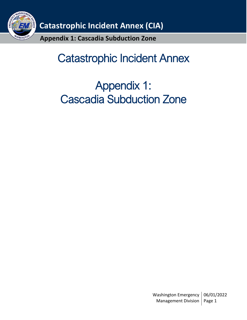

# Catastrophic Incident Annex

# Appendix 1: Cascadia Subduction Zone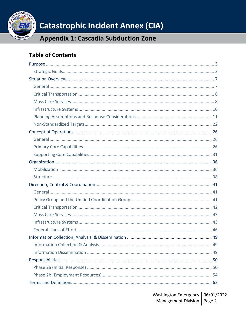

**Appendix 1: Cascadia Subduction Zone** 

## **Table of Contents**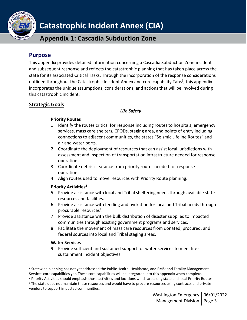

**Appendix 1: Cascadia Subduction Zone**

### <span id="page-2-0"></span>**Purpose**

This appendix provides detailed information concerning a Cascadia Subduction Zone incident and subsequent response and reflects the catastrophic planning that has taken place across the state for its associated Critical Tasks. Through the incorporation of the response considerations outlined throughout the Catastrophic Incident Annex and core capability Tabs<sup>1</sup>, this appendix incorporates the unique assumptions, considerations, and actions that will be involved during this catastrophic incident.

### <span id="page-2-1"></span>**Strategic Goals**

### *Life Safety*

### **Priority Routes**

- 1. Identify the routes critical for response including routes to hospitals, emergency services, mass care shelters, CPODs, staging area, and points of entry including connections to adjacent communities, the states "Seismic Lifeline Routes" and air and water ports.
- 2. Coordinate the deployment of resources that can assist local jurisdictions with assessment and inspection of transportation infrastructure needed for response operations.
- 3. Coordinate debris clearance from priority routes needed for response operations.
- 4. Align routes used to move resources with Priority Route planning.

### **Priority Activities<sup>2</sup>**

- 5. Provide assistance with local and Tribal sheltering needs through available state resources and facilities.
- 6. Provide assistance with feeding and hydration for local and Tribal needs through procurable resources<sup>3</sup>.
- 7. Provide assistance with the bulk distribution of disaster supplies to impacted communities through existing government programs and services.
- 8. Facilitate the movement of mass care resources from donated, procured, and federal sources into local and Tribal staging areas.

### **Water Services**

9. Provide sufficient and sustained support for water services to meet lifesustainment incident objectives.

<sup>&</sup>lt;sup>1</sup> Statewide planning has not yet addressed the Public Health, Healthcare, and EMS; and Fatality Management Services core capabilities yet. These core capabilities will be integrated into this appendix when complete.

<sup>&</sup>lt;sup>2</sup> Priority Activities should emphasis those activities and locations which are along state and local Priority Routes. <sup>3</sup> The state does not maintain these resources and would have to procure resources using contracts and private vendors to support impacted communities.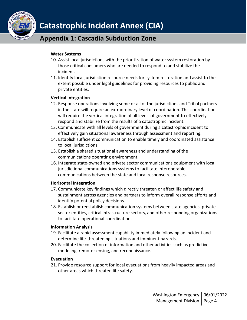

### **Water Systems**

- 10. Assist local jurisdictions with the prioritization of water system restoration by those critical consumers who are needed to respond to and stabilize the incident.
- 11. Identify local jurisdiction resource needs for system restoration and assist to the extent possible under legal guidelines for providing resources to public and private entities.

### **Vertical Integration**

- 12. Response operations involving some or all of the jurisdictions and Tribal partners in the state will require an extraordinary level of coordination. This coordination will require the vertical integration of all levels of government to effectively respond and stabilize from the results of a catastrophic incident.
- 13. Communicate with all levels of government during a catastrophic incident to effectively gain situational awareness through assessment and reporting.
- 14. Establish sufficient communication to enable timely and coordinated assistance to local jurisdictions.
- 15. Establish a shared situational awareness and understanding of the communications operating environment.
- 16. Integrate state-owned and private sector communications equipment with local jurisdictional communications systems to facilitate interoperable communications between the state and local response resources.

### **Horizontal Integration**

- 17. Communicate key findings which directly threaten or affect life safety and sustainment across agencies and partners to inform overall response efforts and identify potential policy decisions.
- 18. Establish or reestablish communication systems between state agencies, private sector entities, critical infrastructure sectors, and other responding organizations to facilitate operational coordination.

### **Information Analysis**

- 19. Facilitate a rapid assessment capability immediately following an incident and determine life-threatening situations and imminent hazards.
- 20. Facilitate the collection of information and other activities such as predictive modeling, remote sensing, and reconnaissance.

### **Evacuation**

21. Provide resource support for local evacuations from heavily impacted areas and other areas which threaten life safety.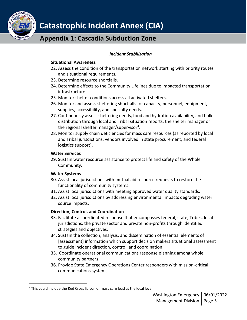

### *Incident Stabilization*

### **Situational Awareness**

- 22. Assess the condition of the transportation network starting with priority routes and situational requirements.
- 23. Determine resource shortfalls.
- 24. Determine effects to the Community Lifelines due to impacted transportation infrastructure.
- 25. Monitor shelter conditions across all activated shelters.
- 26. Monitor and assess sheltering shortfalls for capacity, personnel, equipment, supplies, accessibility, and specialty needs.
- 27. Continuously assess sheltering needs, food and hydration availability, and bulk distribution through local and Tribal situation reports, the shelter manager or the regional shelter manager/supervisor<sup>4</sup>.
- 28. Monitor supply chain deficiencies for mass care resources (as reported by local and Tribal jurisdictions, vendors involved in state procurement, and federal logistics support).

### **Water Services**

29. Sustain water resource assistance to protect life and safety of the Whole Community.

### **Water Systems**

- 30. Assist local jurisdictions with mutual aid resource requests to restore the functionality of community systems.
- 31. Assist local jurisdictions with meeting approved water quality standards.
- 32. Assist local jurisdictions by addressing environmental impacts degrading water source impacts.

### **Direction, Control, and Coordination**

- 33. Facilitate a coordinated response that encompasses federal, state, Tribes, local jurisdictions, the private sector and private non-profits through identified strategies and objectives.
- 34. Sustain the collection, analysis, and dissemination of essential elements of [assessment] information which support decision makers situational assessment to guide incident direction, control, and coordination.
- 35. Coordinate operational communications response planning among whole community partners.
- 36. Provide State Emergency Operations Center responders with mission-critical communications systems.

<sup>&</sup>lt;sup>4</sup> This could include the Red Cross liaison or mass care lead at the local level.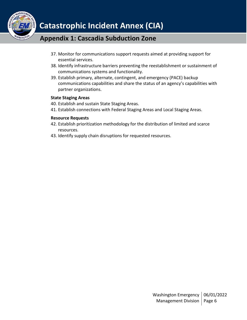

- 37. Monitor for communications support requests aimed at providing support for essential services.
- 38. Identify infrastructure barriers preventing the reestablishment or sustainment of communications systems and functionality.
- 39. Establish primary, alternate, contingent, and emergency (PACE) backup communications capabilities and share the status of an agency's capabilities with partner organizations.

### **State Staging Areas**

- 40. Establish and sustain State Staging Areas.
- 41. Establish connections with Federal Staging Areas and Local Staging Areas.

### **Resource Requests**

- 42. Establish prioritization methodology for the distribution of limited and scarce resources.
- 43. Identify supply chain disruptions for requested resources.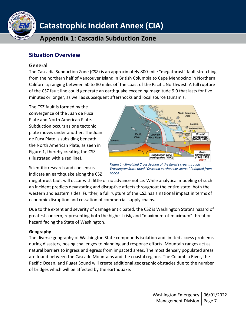

### <span id="page-6-0"></span>**Situation Overview**

### <span id="page-6-1"></span>**General**

The Cascadia Subduction Zone (CSZ) is an approximately 800-mile "megathrust" fault stretching from the northern half of Vancouver Island in British Columbia to Cape Mendocino in Northern California; ranging between 50 to 80 miles off the coast of the Pacific Northwest. A full rupture of the CSZ fault line could generate an earthquake exceeding magnitude 9.0 that lasts for five minutes or longer, as well as subsequent aftershocks and local source tsunamis.

The CSZ fault is formed by the convergence of the Juan de Fuca Plate and North American Plate. Subduction occurs as one tectonic plate moves under another. The Juan de Fuca Plate is subsiding beneath the North American Plate, as seen in Figure 1, thereby creating the CSZ (illustrated with a red line).



Scientific research and consensus indicate an earthquake along the CSZ



megathrust fault will occur with little or no advance notice. While analytical modeling of such an incident predicts devastating and disruptive affects throughout the entire state: both the western and eastern sides. Further, a full rupture of the CSZ has a national impact in terms of economic disruption and cessation of commercial supply chains.

Due to the extent and severity of damage anticipated, the CSZ is Washington State's hazard of greatest concern; representing both the highest risk, and "maximum-of-maximum" threat or hazard facing the State of Washington.

### **Geography**

The diverse geography of Washington State compounds isolation and limited access problems during disasters, posing challenges to planning and response efforts. Mountain ranges act as natural barriers to ingress and egress from impacted areas. The most densely populated areas are found between the Cascade Mountains and the coastal regions. The Columbia River, the Pacific Ocean, and Puget Sound will create additional geographic obstacles due to the number of bridges which will be affected by the earthquake.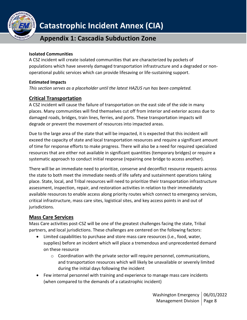

### **Appendix 1: Cascadia Subduction Zone**

### **Isolated Communities**

A CSZ incident will create isolated communities that are characterized by pockets of populations which have severely damaged transportation infrastructure and a degraded or nonoperational public services which can provide lifesaving or life-sustaining support.

### **Estimated Impacts**

*This section serves as a placeholder until the latest HAZUS run has been completed.*

### <span id="page-7-0"></span>**Critical Transportation**

A CSZ incident will cause the failure of transportation on the east side of the side in many places. Many communities will find themselves cut off from interior and exterior access due to damaged roads, bridges, train lines, ferries, and ports. These transportation impacts will degrade or prevent the movement of resources into impacted areas.

Due to the large area of the state that will be impacted, it is expected that this incident will exceed the capacity of state and local transportation resources and require a significant amount of time for response efforts to make progress. There will also be a need for required specialized resources that are either not available in significant quantities (temporary bridges) or require a systematic approach to conduct initial response (repairing one bridge to access another).

There will be an immediate need to prioritize, conserve and deconflict resource requests across the state to both meet the immediate needs of life safety and sustainment operations taking place. State, local, and Tribal resources will need to prioritize their transportation infrastructure assessment, inspection, repair, and restoration activities in relation to their immediately available resources to enable access along priority routes which connect to emergency services, critical infrastructure, mass care sites, logistical sites, and key access points in and out of jurisdictions.

### <span id="page-7-1"></span>**Mass Care Services**

Mass Care activities post-CSZ will be one of the greatest challenges facing the state, Tribal partners, and local jurisdictions. These challenges are centered on the following factors:

- Limited capabilities to purchase and store mass care resources (i.e., food, water, supplies) before an incident which will place a tremendous and unprecedented demand on these resource
	- $\circ$  Coordination with the private sector will require personnel, communications, and transportation resources which will likely be unavailable or severely limited during the initial days following the incident
- Few internal personnel with training and experience to manage mass care incidents (when compared to the demands of a catastrophic incident)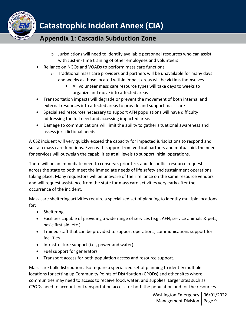

- $\circ$  Jurisdictions will need to identify available personnel resources who can assist with Just-in-Time training of other employees and volunteers
- Reliance on NGOs and VOADs to perform mass care functions
	- o Traditional mass care providers and partners will be unavailable for many days and weeks as those located within impact areas will be victims themselves
		- All volunteer mass care resource types will take days to weeks to organize and move into affected areas
- Transportation impacts will degrade or prevent the movement of both internal and external resources into affected areas to provide and support mass care
- Specialized resources necessary to support AFN populations will have difficulty addressing the full need and accessing impacted areas
- Damage to communications will limit the ability to gather situational awareness and assess jurisdictional needs

A CSZ incident will very quickly exceed the capacity for impacted jurisdictions to respond and sustain mass care functions. Even with support from vertical partners and mutual aid, the need for services will outweigh the capabilities at all levels to support initial operations.

There will be an immediate need to conserve, prioritize, and deconflict resource requests across the state to both meet the immediate needs of life safety and sustainment operations taking place. Many requestors will be unaware of their reliance on the same resource vendors and will request assistance from the state for mass care activities very early after the occurrence of the incident.

Mass care sheltering activities require a specialized set of planning to identify multiple locations for:

- Sheltering
- Facilities capable of providing a wide range of services (e.g., AFN, service animals & pets, basic first aid, etc.)
- Trained staff that can be provided to support operations, communications support for facilities
- Infrastructure support (i.e., power and water)
- Fuel support for generators
- Transport access for both population access and resource support.

Mass care bulk distribution also require a specialized set of planning to identify multiple locations for setting up Community Points of Distribution (CPODs) and other sites where communities may need to access to receive food, water, and supplies. Larger sites such as CPODs need to account for transportation access for both the population and for the resources

> Washington Emergency | 06/01/2022 Management Division | Page 9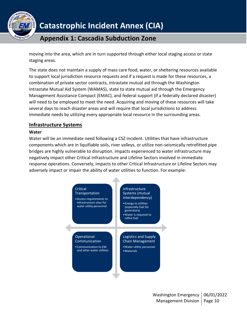

moving into the area, which are in turn supported through either local staging access or state staging areas.

The state does not maintain a supply of mass care food, water, or sheltering resources available to support local jurisdiction resource requests and if a request is made for these resources, a combination of private sector contracts, intrastate mutual aid through the Washington Intrastate Mutual Aid System (WAMAS), state to state mutual aid through the Emergency Management Assistance Compact (EMAC), and federal support (if a federally declared disaster) will need to be employed to meet the need. Acquiring and moving of these resources will take several days to reach disaster areas and will require that local jurisdictions to address immediate needs by utilizing every appropriate local resource in the surrounding areas.

### <span id="page-9-0"></span>**Infrastructure Systems**

### **Water**

Water will be an immediate need following a CSZ incident. Utilities that have infrastructure components which are in liquifiable soils, river valleys, or utilize non-seismically retrofitted pipe bridges are highly vulnerable to disruption. Impacts experienced to water infrastructure may negatively impact other Critical Infrastructure and Lifeline Sectors involved in immediate response operations. Conversely, impacts to other Critical Infrastructure or Lifeline Sectors may adversely impact or impair the ability of water utilities to function. For example:

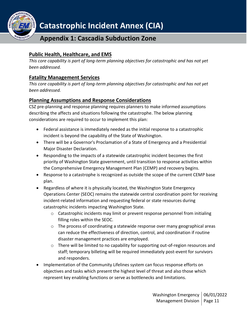

### **Public Health, Healthcare, and EMS**

*This core capability is part of long-term planning objectives for catastrophic and has not yet been addressed.*

### **Fatality Management Services**

*This core capability is part of long-term planning objectives for catastrophic and has not yet been addressed.*

### <span id="page-10-0"></span>**Planning Assumptions and Response Considerations**

CSZ pre-planning and response planning requires planners to make informed assumptions describing the affects and situations following the catastrophe. The below planning considerations are required to occur to implement this plan:

- Federal assistance is immediately needed as the initial response to a catastrophic incident is beyond the capability of the State of Washington.
- There will be a Governor's Proclamation of a State of Emergency and a Presidential Major Disaster Declaration.
- Responding to the impacts of a statewide catastrophic incident becomes the first priority of Washington State government, until transition to response activities within the Comprehensive Emergency Management Plan (CEMP) and recovery begins.
- Response to a catastrophe is recognized as outside the scope of the current CEMP base plan.
- Regardless of where it is physically located, the Washington State Emergency Operations Center (SEOC) remains the statewide central coordination point for receiving incident-related information and requesting federal or state resources during catastrophic incidents impacting Washington State.
	- $\circ$  Catastrophic incidents may limit or prevent response personnel from initialing filling roles within the SEOC.
	- o The process of coordinating a statewide response over many geographical areas can reduce the effectiveness of direction, control, and coordination if routine disaster management practices are employed.
	- o There will be limited to no capability for supporting out-of-region resources and staff; temporary billeting will be required immediately post-event for survivors and responders.
- Implementation of the Community Lifelines system can focus response efforts on objectives and tasks which present the highest level of threat and also those which represent key enabling functions or serve as bottlenecks and limitations.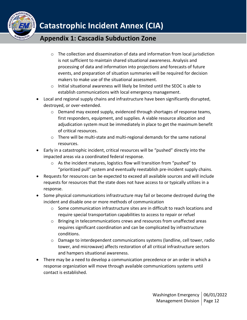

- $\circ$  The collection and dissemination of data and information from local jurisdiction is not sufficient to maintain shared situational awareness. Analysis and processing of data and information into projections and forecasts of future events, and preparation of situation summaries will be required for decision makers to make use of the situational assessment.
- o Initial situational awareness will likely be limited until the SEOC is able to establish communications with local emergency management.
- Local and regional supply chains and infrastructure have been significantly disrupted, destroyed, or over-extended.
	- $\circ$  Demand may exceed supply, evidenced through shortages of response teams, first responders, equipment, and supplies. A viable resource allocation and adjudication system must be immediately in place to get the maximum benefit of critical resources.
	- $\circ$  There will be multi-state and multi-regional demands for the same national resources.
- Early in a catastrophic incident, critical resources will be "pushed" directly into the impacted areas via a coordinated federal response.
	- o As the incident matures, logistics flow will transition from "pushed" to "prioritized pull" system and eventually reestablish pre-incident supply chains.
- Requests for resources can be expected to exceed all available sources and will include requests for resources that the state does not have access to or typically utilizes in a response.
- Some physical communications infrastructure may fail or become destroyed during the incident and disable one or more methods of communication
	- $\circ$  Some communication infrastructure sites are in difficult to reach locations and require special transportation capabilities to access to repair or refuel
	- o Bringing in telecommunications crews and resources from unaffected areas requires significant coordination and can be complicated by infrastructure conditions.
	- $\circ$  Damage to interdependent communications systems (landline, cell tower, radio tower, and microwave) affects restoration of all critical infrastructure sectors and hampers situational awareness.
- There may be a need to develop a communication precedence or an order in which a response organization will move through available communications systems until contact is established.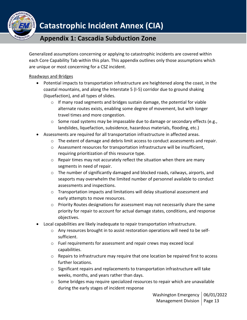

### **Appendix 1: Cascadia Subduction Zone**

Generalized assumptions concerning or applying to catastrophic incidents are covered within each Core Capability Tab within this plan. This appendix outlines only those assumptions which are unique or most concerning for a CSZ incident.

### Roadways and Bridges

- Potential impacts to transportation infrastructure are heightened along the coast, in the coastal mountains, and along the Interstate 5 (I-5) corridor due to ground shaking (liquefaction), and all types of slides.
	- o If many road segments and bridges sustain damage, the potential for viable alternate routes exists, enabling some degree of movement, but with longer travel times and more congestion.
	- $\circ$  Some road systems may be impassable due to damage or secondary effects (e.g., landslides, liquefaction, subsidence, hazardous materials, flooding, etc.)
- Assessments are required for all transportation infrastructure in affected areas.
	- $\circ$  The extent of damage and debris limit access to conduct assessments and repair.
	- $\circ$  Assessment resources for transportation infrastructure will be insufficient, requiring prioritization of this resource type.
	- o Repair times may not accurately reflect the situation when there are many segments in need of repair.
	- $\circ$  The number of significantly damaged and blocked roads, railways, airports, and seaports may overwhelm the limited number of personnel available to conduct assessments and inspections.
	- $\circ$  Transportation impacts and limitations will delay situational assessment and early attempts to move resources.
	- o Priority Routes designations for assessment may not necessarily share the same priority for repair to account for actual damage states, conditions, and response objectives.
- Local capabilities are likely inadequate to repair transportation infrastructure.
	- $\circ$  Any resources brought in to assist restoration operations will need to be selfsufficient.
	- o Fuel requirements for assessment and repair crews may exceed local capabilities.
	- $\circ$  Repairs to infrastructure may require that one location be repaired first to access further locations.
	- o Significant repairs and replacements to transportation infrastructure will take weeks, months, and years rather than days.
	- $\circ$  Some bridges may require specialized resources to repair which are unavailable during the early stages of incident response

Washington Emergency | 06/01/2022 Management Division | Page 13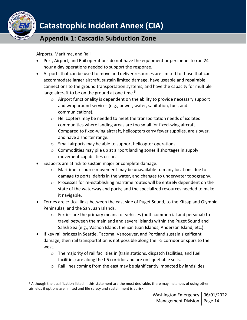

### Airports, Maritime, and Rail

- Port, Airport, and Rail operations do not have the equipment or personnel to run 24 hour a day operations needed to support the response.
- Airports that can be used to move and deliver resources are limited to those that can accommodate larger aircraft, sustain limited damage, have useable and repairable connections to the ground transportation systems, and have the capacity for multiple large aircraft to be on the ground at one time. $5$ 
	- o Airport functionality is dependent on the ability to provide necessary support and wraparound services (e.g., power, water, sanitation, fuel, and communications).
	- o Helicopters may be needed to meet the transportation needs of isolated communities where landing areas are too small for fixed-wing aircraft. Compared to fixed-wing aircraft, helicopters carry fewer supplies, are slower, and have a shorter range.
	- o Small airports may be able to support helicopter operations.
	- o Commodities may pile up at airport landing zones if shortages in supply movement capabilities occur.
- Seaports are at risk to sustain major or complete damage.
	- $\circ$  Maritime resource movement may be unavailable to many locations due to damage to ports, debris in the water, and changes to underwater topography.
	- $\circ$  Processes for re-establishing maritime routes will be entirely dependent on the state of the waterway and ports; and the specialized resources needed to make it navigable.
- Ferries are critical links between the east side of Puget Sound, to the Kitsap and Olympic Peninsulas, and the San Juan Islands.
	- o Ferries are the primary means for vehicles (both commercial and personal) to travel between the mainland and several islands within the Puget Sound and Salish Sea (e.g., Vashon Island, the San Juan Islands, Anderson Island, etc.).
- If key rail bridges in Seattle, Tacoma, Vancouver, and Portland sustain significant damage, then rail transportation is not possible along the I-5 corridor or spurs to the west.
	- o The majority of rail facilities in (train stations, dispatch facilities, and fuel facilities) are along the I-5 corridor and are on liquefiable soils.
	- $\circ$  Rail lines coming from the east may be significantly impacted by landslides.

 $5$  Although the qualification listed in this statement are the most desirable, there may instances of using other airfields if options are limited and life safety and sustainment is at risk.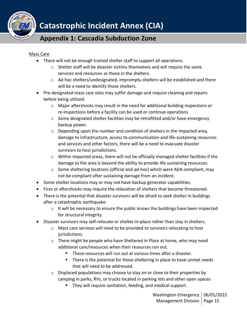

### **Appendix 1: Cascadia Subduction Zone**

#### Mass Care

- There will not be enough trained shelter staff to support all operations.
	- $\circ$  Shelter staff will be disaster victims themselves and will require the same services and resources as those in the shelters.
	- o Ad hoc shelters/undesignated, impromptu shelters will be established and there will be a need to identify those shelters.
- Pre-designated mass care sites may suffer damage and require cleaning and repairs before being utilized.
	- $\circ$  Major aftershocks may result in the need for additional building inspections or re-inspections before a facility can be used or continue operations
	- o Some designated shelter facilities may be retrofitted and/or have emergency backup power.
	- o Depending upon the number and condition of shelters in the impacted area, damage to infrastructure, access to communication and life-sustaining resources and services and other factors, there will be a need to evacuate disaster survivors to host jurisdictions.
	- $\circ$  Within impacted areas, there will not be officially managed shelter facilities if the damage to the area is beyond the ability to provide life sustaining resources.
	- $\circ$  Some sheltering locations (official and ad-hoc) which were ADA compliant, may not be compliant after sustaining damage from an incident.
- Some shelter locations may or may not have backup generator capabilities.
- Fires or aftershocks may require the relocation of shelters that become threatened.
- There is the potential that disaster survivors will be afraid to seek shelter in buildings after a catastrophic earthquake.
	- $\circ$  It will be necessary to ensure the public knows the buildings have been inspected for structural integrity.
- Disaster survivors may self-relocate or shelter-in-place rather than stay in shelters.
	- o Mass care services will need to be provided to survivors relocating to host jurisdictions.
	- $\circ$  There might be people who have Sheltered in Place at home, who may need additional care/resources when their resources run out.
		- These resources will run out at various times after a disaster.
		- There is the potential for those sheltering in place to have unmet needs that will need to be addressed.
	- $\circ$  Displaced populations may choose to stay on or close to their properties by camping in parks, RVs, or trucks located in parking lots and other open spaces
		- They will require sanitation, feeding, and medical support.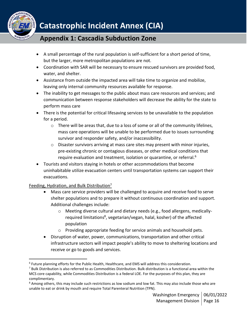

## **Appendix 1: Cascadia Subduction Zone**

- A small percentage of the rural population is self-sufficient for a short period of time, but the larger, more metropolitan populations are not.
- Coordination with SAR will be necessary to ensure rescued survivors are provided food, water, and shelter.
- Assistance from outside the impacted area will take time to organize and mobilize, leaving only internal community resources available for response.
- The inability to get messages to the public about mass care resources and services; and communication between response stakeholders will decrease the ability for the state to perform mass care
- There is the potential for critical lifesaving services to be unavailable to the population for a period.
	- $\circ$  There will be areas that, due to a loss of some or all of the community lifelines, mass care operations will be unable to be performed due to issues surrounding survivor and responder safety, and/or inaccessibility.
	- $\circ$  Disaster survivors arriving at mass care sites may present with minor injuries, pre-existing chronic or contagious diseases, or other medical conditions that require evaluation and treatment, isolation or quarantine, or referral.<sup>6</sup>
- Tourists and visitors staying in hotels or other accommodations that become uninhabitable utilize evacuation centers until transportation systems can support their evacuations.

### Feeding, Hydration, and Bulk Distribution $7$

- Mass care service providers will be challenged to acquire and receive food to serve shelter populations and to prepare it without continuous coordination and support. Additional challenges include:
	- o Meeting diverse cultural and dietary needs (e.g., food allergens, medicallyrequired limitations<sup>8</sup>, vegetarian/vegan, halal, kosher) of the affected population
	- o Providing appropriate feeding for service animals and household pets.
- Disruption of water, power, communications, transportation and other critical infrastructure sectors will impact people's ability to move to sheltering locations and receive or go to goods and services.

<sup>6</sup> Future planning efforts for the Public Health, Healthcare, and EMS will address this consideration.

 $<sup>7</sup>$  Bulk Distribution is also referred to as Commodities Distribution. Bulk distribution is a functional area within the</sup> MCS core capability, while Commodities Distribution is a federal LOE. For the purposes of this plan, they are complimentary.

<sup>&</sup>lt;sup>8</sup> Among others, this may include such restrictions as low sodium and low fat. This may also include those who are unable to eat or drink by mouth and require Total Parenteral Nutrition (TPN).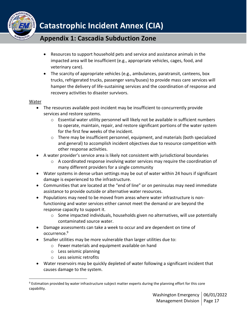

- Resources to support household pets and service and assistance animals in the impacted area will be insufficient (e.g., appropriate vehicles, cages, food, and veterinary care).
- The scarcity of appropriate vehicles (e.g., ambulances, paratransit, canteens, box trucks, refrigerated trucks, passenger vans/buses) to provide mass care services will hamper the delivery of life-sustaining services and the coordination of response and recovery activities to disaster survivors.

#### Water

- The resources available post-incident may be insufficient to concurrently provide services and restore systems.
	- o Essential water utility personnel will likely not be available in sufficient numbers to operate, maintain, repair, and restore significant portions of the water system for the first few weeks of the incident.
	- o There may be insufficient personnel, equipment, and materials (both specialized and general) to accomplish incident objectives due to resource competition with other response activities.
- A water provider's service area is likely not consistent with jurisdictional boundaries
	- $\circ$  A coordinated response involving water services may require the coordination of many different providers for a single community
- Water systems in dense urban settings may be out of water within 24 hours if significant damage is experienced to the infrastructure.
- Communities that are located at the "end of line" or on peninsulas may need immediate assistance to provide outside or alternative water resources.
- Populations may need to be moved from areas where water infrastructure is nonfunctioning and water services either cannot meet the demand or are beyond the response capacity to support it.
	- o Some impacted individuals, households given no alternatives, will use potentially contaminated source water.
- Damage assessments can take a week to occur and are dependent on time of occurrence.<sup>9</sup>
- Smaller utilities may be more vulnerable than larger utilities due to:
	- o Fewer materials and equipment available on hand
	- o Less seismic planning
	- o Less seismic retrofits
- Water reservoirs may be quickly depleted of water following a significant incident that causes damage to the system.

<sup>&</sup>lt;sup>9</sup> Estimation provided by water infrastructure subject matter experts during the planning effort for this core capability.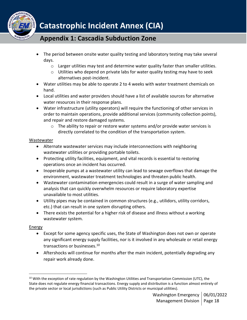

- The period between onsite water quality testing and laboratory testing may take several days.
	- $\circ$  Larger utilities may test and determine water quality faster than smaller utilities.
	- $\circ$  Utilities who depend on private labs for water quality testing may have to seek alternatives post-incident.
- Water utilities may be able to operate 2 to 4 weeks with water treatment chemicals on hand.
- Local utilities and water providers should have a list of available sources for alternative water resources in their response plans.
- Water infrastructure (utility operators) will require the functioning of other services in order to maintain operations, provide additional services (community collection points), and repair and restore damaged systems.
	- $\circ$  The ability to repair or restore water systems and/or provide water services is directly correlated to the condition of the transportation system.

### Wastewater

- Alternate wastewater services may include interconnections with neighboring wastewater utilities or providing portable toilets.
- Protecting utility facilities, equipment, and vital records is essential to restoring operations once an incident has occurred.
- Inoperable pumps at a wastewater utility can lead to sewage overflows that damage the environment, wastewater treatment technologies and threaten public health.
- Wastewater contamination emergencies could result in a surge of water sampling and analysis that can quickly overwhelm resources or require laboratory expertise unavailable to most utilities.
- Utility pipes may be contained in common structures (e.g., utilidors, utility corridors, etc.) that can result in one system disrupting others.
- There exists the potential for a higher risk of disease and illness without a working wastewater system.

### Energy

- Except for some agency specific uses, the State of Washington does not own or operate any significant energy supply facilities, nor is it involved in any wholesale or retail energy transactions or businesses.<sup>10</sup>
- Aftershocks will continue for months after the main incident, potentially degrading any repair work already done.

 $10$  With the exception of rate regulation by the Washington Utilities and Transportation Commission (UTC), the State does not regulate energy financial transactions. Energy supply and distribution is a function almost entirely of the private sector or local jurisdictions (such as Public Utility Districts or municipal utilities).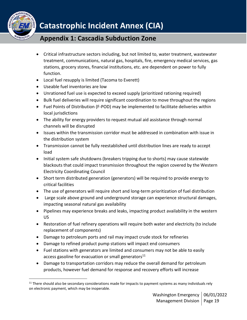

## **Appendix 1: Cascadia Subduction Zone**

- Critical infrastructure sectors including, but not limited to, water treatment, wastewater treatment, communications, natural gas, hospitals, fire, emergency medical services, gas stations, grocery stores, financial institutions, etc. are dependent on power to fully function.
- Local fuel resupply is limited (Tacoma to Everett)
- Useable fuel inventories are low
- Unrationed fuel use is expected to exceed supply (prioritized rationing required)
- Bulk fuel deliveries will require significant coordination to move throughout the regions
- Fuel Points of Distribution (F-POD) may be implemented to facilitate deliveries within local jurisdictions
- The ability for energy providers to request mutual aid assistance through normal channels will be disrupted
- Issues within the transmission corridor must be addressed in combination with issue in the distribution system
- Transmission cannot be fully reestablished until distribution lines are ready to accept load
- Initial system safe shutdowns (breakers tripping due to shorts) may cause statewide blackouts that could impact transmission throughout the region covered by the Western Electricity Coordinating Council
- Short term distributed generation (generators) will be required to provide energy to critical facilities
- The use of generators will require short and long-term prioritization of fuel distribution
- Large scale above ground and underground storage can experience structural damages, impacting seasonal natural gas availability
- Pipelines may experience breaks and leaks, impacting product availability in the western US
- Restoration of fuel refinery operations will require both water and electricity (to include replacement of components)
- Damage to petroleum ports and rail may impact crude stock for refineries
- Damage to refined product pump stations will impact end consumers
- Fuel stations with generators are limited and consumers may not be able to easily access gasoline for evacuation or small generators $11$
- Damage to transportation corridors may reduce the overall demand for petroleum products, however fuel demand for response and recovery efforts will increase

 $11$  There should also be secondary considerations made for impacts to payment systems as many individuals rely on electronic payment, which may be inoperable.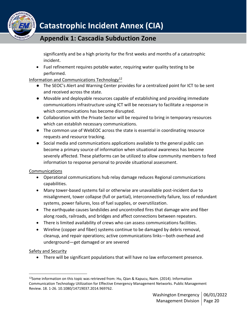

significantly and be a high priority for the first weeks and months of a catastrophic incident.

• Fuel refinement requires potable water, requiring water quality testing to be performed.

### Information and Communications Technology<sup>12</sup>

- The SEOC's Alert and Warning Center provides for a centralized point for ICT to be sent and received across the state.
- Movable and deployable resources capable of establishing and providing immediate communications infrastructure using ICT will be necessary to facilitate a response in which communications has become disrupted.
- Collaboration with the Private Sector will be required to bring in temporary resources which can establish necessary communications.
- The common use of WebEOC across the state is essential in coordinating resource requests and resource tracking.
- Social media and communications applications available to the general public can become a primary source of information when situational awareness has become severely affected. These platforms can be utilized to allow community members to feed information to response personal to provide situational assessment.

### Communications

- Operational communications hub relay damage reduces Regional communications capabilities.
- Many tower-based systems fail or otherwise are unavailable post-incident due to misalignment, tower collapse (full or partial), interconnectivity failure, loss of redundant systems, power failures, loss of fuel supplies, or overutilization.
- The earthquake causes landslides and uncontrolled fires that damage wire and fiber along roads, railroads, and bridges and affect connections between repeaters.
- There is limited availability of crews who can assess communications facilities.
- Wireline (copper and fiber) systems continue to be damaged by debris removal, cleanup, and repair operations; active communications links—both overhead and underground—get damaged or are severed

### Safety and Security

• There will be significant populations that will have no law enforcement presence.

<sup>12</sup>Some information on this topic was retrieved from: Hu, Qian & Kapucu, Naim. (2014). Information Communication Technology Utilization for Effective Emergency Management Networks. Public Management Review. 18. 1-26. 10.1080/14719037.2014.969762.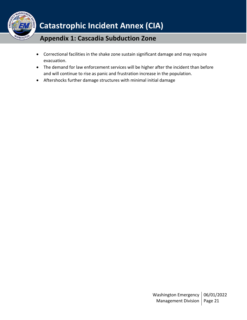

- Correctional facilities in the shake zone sustain significant damage and may require evacuation.
- The demand for law enforcement services will be higher after the incident than before and will continue to rise as panic and frustration increase in the population.
- Aftershocks further damage structures with minimal initial damage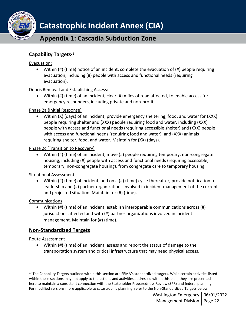

### **Capability Targets***<sup>13</sup>*

### Evacuation:

• Within  $(\#)$  (time) notice of an incident, complete the evacuation of  $(\#)$  people requiring evacuation, including (#) people with access and functional needs (requiring evacuation).

Debris Removal and Establishing Access:

• Within (#) (time) of an incident, clear (#) miles of road affected, to enable access for emergency responders, including private and non-profit.

### Phase 2a (Initial Response)

• Within (X) (days) of an incident, provide emergency sheltering, food, and water for (XXX) people requiring shelter and (XXX) people requiring food and water, including (XXX) people with access and functional needs (requiring accessible shelter) and (XXX) people with access and functional needs (requiring food and water), and (XXX) animals requiring shelter, food, and water. Maintain for (XX) (days).

Phase 2c (Transition to Recovery)

• Within (#) (time) of an incident, move (#) people requiring temporary, non-congregate housing, including (#) people with access and functional needs (requiring accessible, temporary, non-congregate housing), from congregate care to temporary housing.

Situational Assessment

• Within (#) (time) of incident, and on a (#) (time) cycle thereafter, provide notification to leadership and (#) partner organizations involved in incident management of the current and projected situation. Maintain for (#) (time).

### Communications

• Within (#) (time) of an incident, establish interoperable communications across (#) jurisdictions affected and with (#) partner organizations involved in incident management. Maintain for (#) (time).

### <span id="page-21-0"></span>**Non-Standardized Targets**

Route Assessment

• Within (#) (time) of an incident, assess and report the status of damage to the transportation system and critical infrastructure that may need physical access.

 $13$  The Capability Targets outlined within this section are FEMA's standardized targets. While certain activities listed within these sections may not apply to the actions and activities addressed within this plan, they are presented here to maintain a consistent connection with the Stakeholder Preparedness Review (SPR) and federal planning. For modified versions more applicable to catastrophic planning, refer to the Non-Standardized Targets below.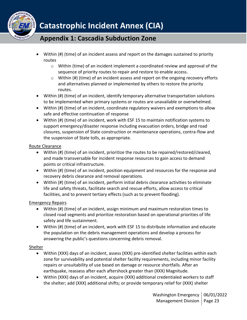

- Within (#) (time) of an incident assess and report on the damages sustained to priority routes
	- $\circ$  Within (time) of an incident implement a coordinated review and approval of the sequence of priority routes to repair and restore to enable access.
	- o Within (#) (time) of an incident assess and report on the ongoing recovery efforts and alternatives planned or implemented by others to restore the priority routes.
- Within (#) (time) of an incident, identify temporary alternative transportation solutions to be implemented when primary systems or routes are unavailable or overwhelmed.
- Within (#) (time) of an incident, coordinate regulatory waivers and exemptions to allow safe and effective continuation of response
- Within (#) (time) of an incident, work with ESF 15 to maintain notification systems to support emergency/disaster response including evacuation orders, bridge and road closures, suspension of State construction or maintenance operations, contra-flow and the suspension of State tolls, as appropriate.

### Route Clearance

- Within (#) (time) of an incident, prioritize the routes to be repaired/restored/cleared, and made transversable for incident response resources to gain access to demand points or critical infrastructure.
- Within (#) (time) of an incident, position equipment and resources for the response and recovery debris clearance and removal operations.
- Within (#) (time) of an incident, perform initial debris clearance activities to eliminate life and safety threats, facilitate search and rescue efforts, allow access to critical facilities, and to prevent tertiary effects (such as to prevent flooding).

### Emergency Repairs

- Within (#) (time) of an incident, assign minimum and maximum restoration times to closed road segments and prioritize restoration based on operational priorities of life safety and life sustainment.
- Within (#) (time) of an incident, work with ESF 15 to distribute information and educate the population on the debris management operations and develop a process for answering the public's questions concerning debris removal.

### Shelter

- Within (XXX) days of an incident, assess (XXX) pre-identified shelter facilities within each zone for survivability and potential shelter facility requirements, including minor facility repairs or unsuitability of use based on damage or resource shortfalls. After an earthquake, reassess after each aftershock greater than (XXX) Magnitude.
- Within (XXX) days of an incident, acquire (XXX) additional credentialed workers to staff the shelter; add (XXX) additional shifts; or provide temporary relief for (XXX) shelter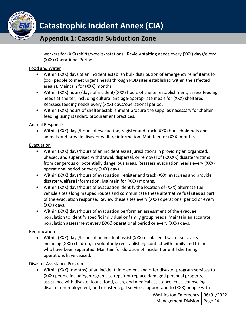

workers for (XXX) shifts/weeks/rotations. Review staffing needs every (XXX) days/every (XXX) Operational Period.

### Food and Water

- Within (XXX) days of an incident establish bulk distribution of emergency relief items for (xxx) people to meet urgent needs through POD sites established within the affected area(s). Maintain for (XXX) months.
- Within (XXX) hours/days of incident/(XXX) hours of shelter establishment, assess feeding needs at shelter, including cultural and age-appropriate meals for (XXX) sheltered. Reassess feeding needs every (XXX) days/operational period.
- Within (XXX) hours of shelter establishment procure the supplies necessary for shelter feeding using standard procurement practices.

### Animal Response

• Within (XXX) days/hours of evacuation, register and track (XXX) household pets and animals and provide disaster welfare information. Maintain for (XXX) months.

### Evacuation

- Within (XXX) days/hours of an incident assist jurisdictions in providing an organized, phased, and supervised withdrawal, dispersal, or removal of (XXXXX) disaster victims from dangerous or potentially dangerous areas. Reassess evacuation needs every (XXX) operational period or every (XXX) days.
- Within (XXX) days/hours of evacuation, register and track (XXX) evacuees and provide disaster welfare information. Maintain for (XXX) months.
- Within (XXX) days/hours of evacuation identify the location of (XXX) alternate fuel vehicle sites along mapped routes and communicate these alternative fuel sites as part of the evacuation response. Review these sites every (XXX) operational period or every (XXX) days.
- Within (XXX) days/hours of evacuation perform an assessment of the evacuee population to identify specific individual or family group needs. Maintain an accurate population assessment every (XXX) operational period or every (XXX) days.

### Reunification

• Within (XXX) days/hours of an incident assist (XXX) displaced disaster survivors, including (XXX) children, in voluntarily reestablishing contact with family and friends who have been separated. Maintain for duration of incident or until sheltering operations have ceased.

### Disaster Assistance Programs

• Within (XXX) (months) of an incident, implement and offer disaster program services to (XXX) people including programs to repair or replace damaged personal property, assistance with disaster loans, food, cash, and medical assistance, crisis counseling, disaster unemployment, and disaster legal services support and to (XXX) people with

> Washington Emergency | 06/01/2022 Management Division | Page 24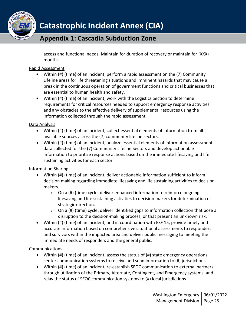

access and functional needs. Maintain for duration of recovery or maintain for (XXX) months.

### Rapid Assessment

- Within (#) (time) of an incident, perform a rapid assessment on the (7) Community Lifeline areas for life threatening situations and imminent hazards that may cause a break in the continuous operation of government functions and critical businesses that are essential to human health and safety.
- Within (#) (time) of an incident, work with the Logistics Section to determine requirements for critical resources needed to support emergency response activities and any obstacles to the effective delivery of supplemental resources using the information collected through the rapid assessment.

### Data Analysis

- Within (#) (time) of an incident, collect essential elements of information from all available sources across the (7) community lifeline sectors.
- Within (#) (time) of an incident, analyze essential elements of information assessment data collected for the (7) Community Lifeline Sectors and develop actionable information to prioritize response actions based on the immediate lifesaving and life sustaining activities for each sector.

### Information Sharing

- Within (#) (time) of an incident, deliver actionable information sufficient to inform decision making regarding immediate lifesaving and life sustaining activities to decision makers.
	- o On a (#) (time) cycle, deliver enhanced information to reinforce ongoing lifesaving and life sustaining activities to decision makers for determination of strategic direction.
	- $\circ$  On a (#) (time) cycle, deliver identified gaps to information collection that pose a disruption to the decision-making process, or that present an unknown risk.
- Within (#) (time) of an incident, and in coordination with ESF 15, provide timely and accurate information based on comprehensive situational assessments to responders and survivors within the impacted area and deliver public messaging to meeting the immediate needs of responders and the general public.

### **Communications**

- Within (#) (time) of an incident, assess the status of (#) state emergency operations center communication systems to receive and send information to (#) jurisdictions.
- Within (#) (time) of an incident, re-establish SEOC communication to external partners through utilization of the Primary, Alternate, Contingent, and Emergency systems, and relay the status of SEOC communication systems to (#) local jurisdictions.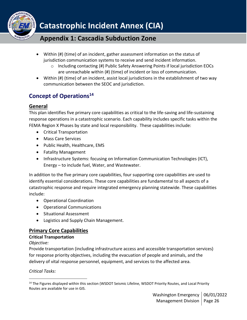

- Within (#) (time) of an incident, gather assessment information on the status of jurisdiction communication systems to receive and send incident information.
	- $\circ$  Including contacting (#) Public Safety Answering Points if local jurisdiction EOCs are unreachable within (#) (time) of incident or loss of communication.
- Within (#) (time) of an incident, assist local jurisdictions in the establishment of two way communication between the SEOC and jurisdiction.

## <span id="page-25-0"></span>**Concept of Operations<sup>14</sup>**

### <span id="page-25-1"></span>**General**

This plan identifies five primary core capabilities as critical to the life-saving and life-sustaining response operations in a catastrophic scenario. Each capability includes specific tasks within the FEMA Region X Phases by state and local responsibility. These capabilities include:

- Critical Transportation
- Mass Care Services
- Public Health, Healthcare, EMS
- Fatality Management
- Infrastructure Systems: focusing on Information Communication Technologies (ICT), Energy – to include fuel, Water, and Wastewater.

In addition to the five primary core capabilities, four supporting core capabilities are used to identify essential considerations. These core capabilities are fundamental to all aspects of a catastrophic response and require integrated emergency planning statewide. These capabilities include:

- Operational Coordination
- Operational Communications
- Situational Assessment
- Logistics and Supply Chain Management.

### <span id="page-25-2"></span>**Primary Core Capabilities**

### **Critical Transportation**

*Objective:*

Provide transportation (including infrastructure access and accessible transportation services) for response priority objectives, including the evacuation of people and animals, and the delivery of vital response personnel, equipment, and services to the affected area.

### *Critical Tasks:*

<sup>&</sup>lt;sup>14</sup> The Figures displayed within this section (WSDOT Seismic Lifeline, WSDOT Priority Routes, and Local Priority Routes are available for use in GIS.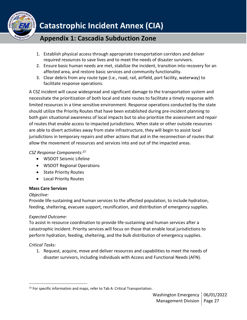

- 1. Establish physical access through appropriate transportation corridors and deliver required resources to save lives and to meet the needs of disaster survivors.
- 2. Ensure basic human needs are met, stabilize the incident, transition into recovery for an affected area, and restore basic services and community functionality.
- 3. Clear debris from any route type (i.e., road, rail, airfield, port facility, waterway) to facilitate response operations.

A CSZ incident will cause widespread and significant damage to the transportation system and necessitate the prioritization of both local and state routes to facilitate a timely response with limited resources in a time sensitive environment. Response operations conducted by the state should utilize the Priority Routes that have been established during pre-incident planning to both gain situational awareness of local impacts but to also prioritize the assessment and repair of routes that enable access to impacted jurisdictions. When state or other outside resources are able to divert activities away from state infrastructure, they will begin to assist local jurisdictions in temporary repairs and other actions that aid in the reconnection of routes that allow the movement of resources and services into and out of the impacted areas.

### *CSZ Response Components:<sup>15</sup>*

- WSDOT Seismic Lifeline
- WSDOT Regional Operations
- State Priority Routes
- Local Priority Routes

### **Mass Care Services**

### *Objective:*

Provide life-sustaining and human services to the affected population, to include hydration, feeding, sheltering, evacuee support, reunification, and distribution of emergency supplies.

### *Expected Outcome:*

To assist in resource coordination to provide life-sustaining and human services after a catastrophic incident. Priority services will focus on those that enable local jurisdictions to perform hydration, feeding, sheltering, and the bulk distribution of emergency supplies.

### *Critical Tasks:*

1. Request, acquire, move and deliver resources and capabilities to meet the needs of disaster survivors, including individuals with Access and Functional Needs (AFN).

<sup>&</sup>lt;sup>15</sup> For specific information and maps, refer to Tab A: Critical Transportation.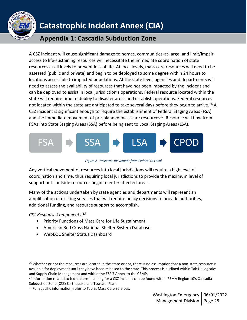

## **Appendix 1: Cascadia Subduction Zone**

A CSZ incident will cause significant damage to homes, communities-at-large, and limit/impair access to life-sustaining resources will necessitate the immediate coordination of state resources at all levels to prevent loss of life. At local levels, mass care resources will need to be assessed (public and private) and begin to be deployed to some degree within 24 hours to locations accessible to impacted populations. At the state level, agencies and departments will need to assess the availability of resources that have not been impacted by the incident and can be deployed to assist in local jurisdiction's operations. Federal resource located within the state will require time to deploy to disaster areas and establish operations. Federal resources not located within the state are anticipated to take several days before they begin to arrive.<sup>16</sup> A CSZ incident is significant enough to require the establishment of Federal Staging Areas (FSA) and the immediate movement of pre-planned mass care resources $^{17}$ . Resource will flow from FSAs into State Staging Areas (SSA) before being sent to Local Staging Areas (LSA).



*Figure 2 - Resource movement from Federal to Local*

Any vertical movement of resources into local jurisdictions will require a high level of coordination and time, thus requiring local jurisdictions to provide the maximum level of support until outside resources begin to enter affected areas.

Many of the actions undertaken by state agencies and departments will represent an amplification of existing services that will require policy decisions to provide authorities, additional funding, and resource support to accomplish.

*CSZ Response Components:<sup>18</sup>*

- Priority Functions of Mass Care for Life Sustainment
- American Red Cross National Shelter System Database
- WebEOC Shelter Status Dashboard

<sup>&</sup>lt;sup>16</sup> Whether or not the resources are located in the state or not, there is no assumption that a non-state resource is available for deployment until they have been released to the state. This process is outlined within Tab H: Logistics and Supply Chain Management and within the ESF 7 Annex to the CEMP.

<sup>&</sup>lt;sup>17</sup> Information related to federal pre-planning for a CSZ incident can be found within FEMA Region 10's Cascadia Subduction Zone (CSZ) Earthquake and Tsunami Plan.

<sup>&</sup>lt;sup>18</sup> For specific information, refer to Tab B: Mass Care Services.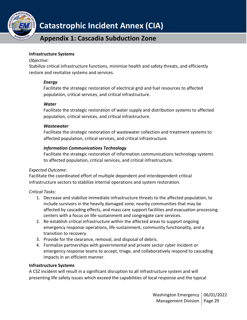

### **Appendix 1: Cascadia Subduction Zone**

#### **Infrastructure Systems**

#### *Objective:*

Stabilize critical infrastructure functions, minimize health and safety threats, and efficiently restore and revitalize systems and services.

#### *Energy*

Facilitate the strategic restoration of electrical grid and fuel resources to affected population, critical services, and critical infrastructure.

#### *Water*

Facilitate the strategic restoration of water supply and distribution systems to affected population, critical services, and critical infrastructure.

#### *Wastewater*

Facilitate the strategic restoration of wastewater collection and treatment systems to affected population, critical services, and critical infrastructure.

### *Information Communications Technology*

Facilitate the strategic restoration of information communications technology systems to affected population, critical services, and critical infrastructure.

### *Expected Outcome:*

Facilitate the coordinated effort of multiple dependent and interdependent critical infrastructure sectors to stabilize internal operations and system restoration.

### *Critical Tasks:*

- 1. Decrease and stabilize immediate infrastructure threats to the affected population, to include survivors in the heavily damaged zone, nearby communities that may be affected by cascading effects, and mass care support facilities and evacuation processing centers with a focus on life-sustainment and congregate care services.
- 2. Re-establish critical infrastructure within the affected areas to support ongoing emergency response operations, life sustainment, community functionality, and a transition to recovery.
- 3. Provide for the clearance, removal, and disposal of debris.
- 4. Formalize partnerships with governmental and private sector cyber incident or emergency response teams to accept, triage, and collaboratively respond to cascading impacts in an efficient manner.

### **Infrastructure Systems**

A CSZ incident will result in a significant disruption to all infrastructure system and will presenting life safety issues which exceed the capabilities of local response and the typical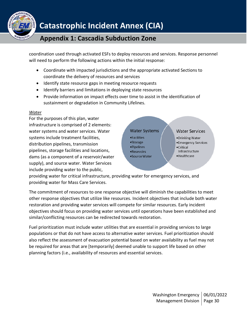

coordination used through activated ESFs to deploy resources and services. Response personnel will need to perform the following actions within the initial response:

- Coordinate with impacted jurisdictions and the appropriate activated Sections to coordinate the delivery of resources and services
- Identify state resource gaps in meeting resource requests
- Identify barriers and limitations in deploying state resources
- Provide information on impact effects over time to assist in the identification of sustainment or degradation in Community Lifelines.

#### *Water*

For the purposes of this plan, water infrastructure is comprised of 2 elements: water systems and water services. Water systems include treatment facilities, distribution pipelines, transmission pipelines, storage facilities and locations, dams (as a component of a reservoir/water supply), and source water. Water Services include providing water to the public,



providing water for critical infrastructure, providing water for emergency services, and providing water for Mass Care Services.

The commitment of resources to one response objective will diminish the capabilities to meet other response objectives that utilize like resources. Incident objectives that include both water restoration and providing water services will compete for similar resources. Early incident objectives should focus on providing water services until operations have been established and similar/conflicting resources can be redirected towards restoration.

Fuel prioritization must include water utilities that are essential in providing services to large populations or that do not have access to alternative water services. Fuel prioritization should also reflect the assessment of evacuation potential based on water availability as fuel may not be required for areas that are [temporarily] deemed unable to support life based on other planning factors (i.e., availability of resources and essential services.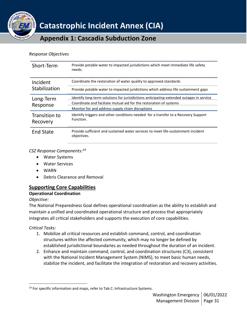

**Appendix 1: Cascadia Subduction Zone**

#### *Response Objectives*

| Short-Term                | Provide potable water to impacted jurisdictions which meet immediate life safety<br>needs.       |
|---------------------------|--------------------------------------------------------------------------------------------------|
| Incident                  | Coordinate the restoration of water quality to approved standards                                |
| Stabilization             | Provide potable water to impacted juridictions which address life sustainment gaps               |
| Long-Term<br>Response     | Identify long-term solutions for jurisidictions anticipating extended outages in service         |
|                           | Coordinate and faciliate mutual aid for the restoration of systems                               |
|                           | Monitor for and address supply chain disruptions                                                 |
| Transition to<br>Recovery | Identify triggers and other conditions needed for a transfer to a Recovery Support<br>Function.  |
| <b>End State</b>          | Provide sufficient and sustained water services to meet life-sustainment incident<br>objectives. |

#### *CSZ Response Components:<sup>19</sup>*

- Water Systems
- Water Services
- WARN
- Debris Clearance and Removal

### <span id="page-30-0"></span>**Supporting Core Capabilities**

### **Operational Coordination**

### *Objective:*

The National Preparedness Goal defines operational coordination as the ability to establish and maintain a unified and coordinated operational structure and process that appropriately integrates all critical stakeholders and supports the execution of core capabilities.

### *Critical Tasks:*

- 1. Mobilize all critical resources and establish command, control, and coordination structures within the affected community, which may no longer be defined by established jurisdictional boundaries as needed throughout the duration of an incident.
- 2. Enhance and maintain command, control, and coordination structures (C3), consistent with the National Incident Management System (NIMS), to meet basic human needs, stabilize the incident, and facilitate the integration of restoration and recovery activities.

 $19$  For specific information and maps, refer to Tab C: Infrastructure Systems.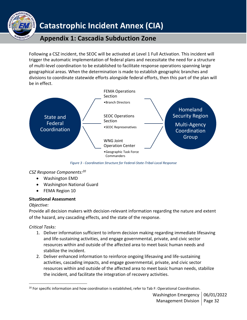

## **Appendix 1: Cascadia Subduction Zone**

Following a CSZ incident, the SEOC will be activated at Level 1 Full Activation. This incident will trigger the automatic implementation of federal plans and necessitate the need for a structure of multi-level coordination to be established to facilitate response operations spanning large geographical areas. When the determination is made to establish geographic branches and divisions to coordinate statewide efforts alongside federal efforts, then this part of the plan will be in effect.



*Figure 3 - Coordination Structure for Federal-State-Tribal-Local Response*

### *CSZ Response Components:<sup>20</sup>*

- Washington EMD
- Washington National Guard
- FEMA Region 10

### **Situational Assessment**

### *Objective:*

Provide all decision makers with decision-relevant information regarding the nature and extent of the hazard, any cascading effects, and the state of the response.

*Critical Tasks:*

- 1. Deliver information sufficient to inform decision making regarding immediate lifesaving and life-sustaining activities, and engage governmental, private, and civic sector resources within and outside of the affected area to meet basic human needs and stabilize the incident.
- 2. Deliver enhanced information to reinforce ongoing lifesaving and life-sustaining activities, cascading impacts, and engage governmental, private, and civic sector resources within and outside of the affected area to meet basic human needs, stabilize the incident, and facilitate the integration of recovery activities.

 $20$  For specific information and how coordination is established, refer to Tab F: Operational Coordination.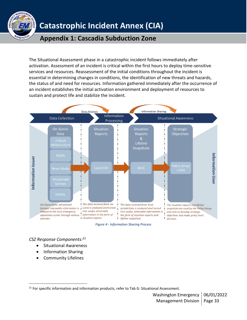

**Appendix 1: Cascadia Subduction Zone**

The Situational Assessment phase in a catastrophic incident follows immediately after activation. Assessment of an incident is critical within the first hours to deploy time-sensitive services and resources. Reassessment of the initial conditions throughout the incident is essential in determining changes in conditions, the identification of new threats and hazards, the status of and need for resources. Information gathered immediately after the occurrence of an incident establishes the initial activation environment and deployment of resources to sustain and protect life and stabilize the incident.



*Figure 4 - Information Sharing Process*

*CSZ Response Components:<sup>21</sup>*

- Situational Awareness
- Information Sharing
- Community Lifelines

<sup>&</sup>lt;sup>21</sup> For specific information and information products, refer to Tab G: Situational Assessment.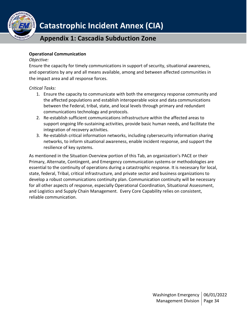

### **Operational Communication**

#### *Objective:*

Ensure the capacity for timely communications in support of security, situational awareness, and operations by any and all means available, among and between affected communities in the impact area and all response forces.

*Critical Tasks:*

- 1. Ensure the capacity to communicate with both the emergency response community and the affected populations and establish interoperable voice and data communications between the Federal, tribal, state, and local levels through primary and redundant communications technology and protocols.
- 2. Re-establish sufficient communications infrastructure within the affected areas to support ongoing life-sustaining activities, provide basic human needs, and facilitate the integration of recovery activities.
- 3. Re-establish critical information networks, including cybersecurity information sharing networks, to inform situational awareness, enable incident response, and support the resilience of key systems.

As mentioned in the Situation Overview portion of this Tab, an organization's PACE or their Primary, Alternate, Contingent, and Emergency communication systems or methodologies are essential to the continuity of operations during a catastrophic response. It is necessary for local, state, federal, Tribal, critical infrastructure, and private sector and business organizations to develop a robust communications continuity plan. Communication continuity will be necessary for all other aspects of response, especially Operational Coordination, Situational Assessment, and Logistics and Supply Chain Management. Every Core Capability relies on consistent, reliable communication.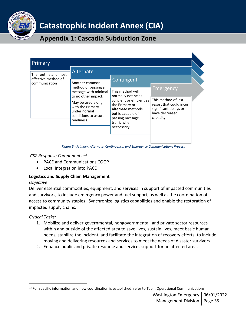

## **Appendix 1: Cascadia Subduction Zone**

| Primary                                     |                                                                                                                                                                                     |                                                                                                                                                                                   |                                                                                                                            |
|---------------------------------------------|-------------------------------------------------------------------------------------------------------------------------------------------------------------------------------------|-----------------------------------------------------------------------------------------------------------------------------------------------------------------------------------|----------------------------------------------------------------------------------------------------------------------------|
| The routine and most<br>effective method of | Alternate                                                                                                                                                                           | Contingent                                                                                                                                                                        |                                                                                                                            |
| communication                               | Another common<br>method of passing a<br>message with minimal<br>to no other impact.<br>May be used along<br>with the Primary<br>under normal<br>conditions to assure<br>readiness. | This method will<br>normally not be as<br>convient or efficient as<br>the Primary or<br>Alternate methods,<br>but is capable of<br>passing message<br>traffic when<br>neccessary. | <b>Emergency</b><br>This method of last<br>resort that could incur<br>significant delays or<br>have decreased<br>capacity. |

*Figure 5 - Primary, Alternate, Contingency, and Emergency Communications Process*

### *CSZ Response Components:<sup>22</sup>*

- PACE and Communications COOP
- Local Integration into PACE

### **Logistics and Supply Chain Management**

### *Objective:*

Deliver essential commodities, equipment, and services in support of impacted communities and survivors, to include emergency power and fuel support, as well as the coordination of access to community staples. Synchronize logistics capabilities and enable the restoration of impacted supply chains.

### *Critical Tasks:*

- 1. Mobilize and deliver governmental, nongovernmental, and private sector resources within and outside of the affected area to save lives, sustain lives, meet basic human needs, stabilize the incident, and facilitate the integration of recovery efforts, to include moving and delivering resources and services to meet the needs of disaster survivors.
- 2. Enhance public and private resource and services support for an affected area.

 $22$  For specific information and how coordination is established, refer to Tab I: Operational Communications.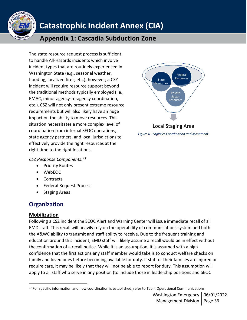

## **Appendix 1: Cascadia Subduction Zone**

The state resource request process is sufficient to handle All-Hazards incidents which involve incident types that are routinely experienced in Washington State (e.g., seasonal weather, flooding, localized fires, etc.); however, a CSZ incident will require resource support beyond the traditional methods typically employed (i.e., EMAC, minor agency-to-agency coordination, etc.). CSZ will not only present extreme resource requirements but will also likely have an huge impact on the ability to move resources. This situation necessitates a more complex level of coordination from internal SEOC operations, state agency partners, and local jurisdictions to effectively provide the right resources at the right time to the right locations.



*Figure 6 - Logistics Coordination and Movement*

### *CSZ Response Components:<sup>23</sup>*

- Priority Routes
- WebEOC
- Contracts
- Federal Request Process
- Staging Areas

## <span id="page-35-0"></span>**Organization**

### <span id="page-35-1"></span>**Mobilization**

Following a CSZ incident the SEOC Alert and Warning Center will issue immediate recall of all EMD staff. This recall will heavily rely on the operability of communications system and both the A&WC ability to transmit and staff ability to receive. Due to the frequent training and education around this incident, EMD staff will likely assume a recall would be in effect without the confirmation of a recall notice. While it is an assumption, it is assumed with a high confidence that the first actions any staff member would take is to conduct welfare checks on family and loved ones before becoming available for duty. If staff or their families are injured or require care, it may be likely that they will not be able to report for duty. This assumption will apply to all staff who serve in any position (to include those in leadership positions and SEOC

<sup>&</sup>lt;sup>23</sup> For specific information and how coordination is established, refer to Tab I: Operational Communications.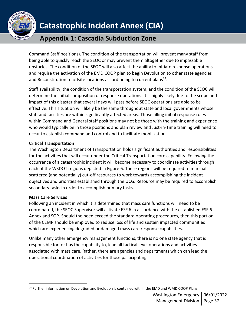

## **Appendix 1: Cascadia Subduction Zone**

Command Staff positions). The condition of the transportation will prevent many staff from being able to quickly reach the SEOC or may prevent them altogether due to impassable obstacles. The condition of the SEOC will also affect the ability to initiate response operations and require the activation of the EMD COOP plan to begin Devolution to other state agencies and Reconstitution to offsite locations accordioning to current plans<sup>24</sup>.

Staff availability, the condition of the transportation system, and the condition of the SEOC will determine the initial composition of response operations. It is highly likely due to the scope and impact of this disaster that several days will pass before SEOC operations are able to be effective. This situation will likely be the same throughout state and local governments whose staff and facilities are within significantly affected areas. Those filling initial response roles within Command and General staff positions may not be those with the training and experience who would typically be in those positions and plan review and Just-in-Time training will need to occur to establish command and control and to facilitate mobilization.

### **Critical Transportation**

The Washington Department of Transportation holds significant authorities and responsibilities for the activities that will occur under the Critical Transportation core capability. Following the occurrence of a catastrophic incident it will become necessary to coordinate activities through each of the WSDOT regions depicted in Figure 6. These regions will be required to marshal scattered (and potentially) cut-off resources to work towards accomplishing the incident objectives and priorities established through the UCG. Resource may be required to accomplish secondary tasks in order to accomplish primary tasks.

### **Mass Care Services**

Following an incident in which it is determined that mass care functions will need to be coordinated, the SEOC Supervisor will activate ESF 6 in accordance with the established ESF 6 Annex and SOP. Should the need exceed the standard operating procedures, then this portion of the CEMP should be employed to reduce loss of life and sustain impacted communities which are experiencing degraded or damaged mass care response capabilities.

Unlike many other emergency management functions, there is no one state agency that is responsible for, or has the capability to, lead all tactical level operations and activities associated with mass care. Rather, there are agencies and departments which can lead the operational coordination of activities for those participating.

<sup>&</sup>lt;sup>24</sup> Further information on Devolution and Evolution is contained within the EMD and WMD COOP Plans.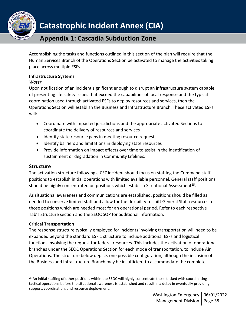

Accomplishing the tasks and functions outlined in this section of the plan will require that the Human Services Branch of the Operations Section be activated to manage the activities taking place across multiple ESFs.

### **Infrastructure Systems**

*Water*

Upon notification of an incident significant enough to disrupt an infrastructure system capable of presenting life safety issues that exceed the capabilities of local response and the typical coordination used through activated ESFs to deploy resources and services, then the Operations Section will establish the Business and Infrastructure Branch. These activated ESFs will:

- Coordinate with impacted jurisdictions and the appropriate activated Sections to coordinate the delivery of resources and services
- Identify state resource gaps in meeting resource requests
- Identify barriers and limitations in deploying state resources
- Provide information on impact effects over time to assist in the identification of sustainment or degradation in Community Lifelines.

### <span id="page-37-0"></span>**Structure**

The activation structure following a CSZ incident should focus on staffing the Command staff positions to establish initial operations with limited available personnel. General staff positions should be highly concentrated on positions which establish Situational Assessment<sup>25</sup>.

As situational awareness and communications are established, positions should be filled as needed to conserve limited staff and allow for the flexibility to shift General Staff resources to those positions which are needed most for an operational period. Refer to each respective Tab's Structure section and the SEOC SOP for additional information.

### **Critical Transportation**

The response structure typically employed for incidents involving transportation will need to be expanded beyond the standard ESF 1 structure to include additional ESFs and logistical functions involving the request for federal resources. This includes the activation of operational branches under the SEOC Operations Section for each mode of transportation, to include Air Operations. The structure below depicts one possible configuration, although the inclusion of the Business and Infrastructure Branch may be insufficient to accommodate the complete

 $25$  An initial staffing of other positions within the SEOC will highly concentrate those tasked with coordinating tactical operations before the situational awareness is established and result in a delay in eventually providing support, coordination, and resource deployment.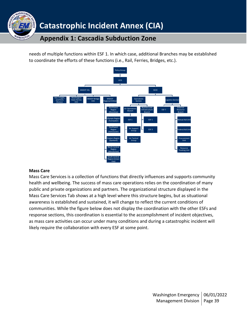

needs of multiple functions within ESF 1. In which case, additional Branches may be established to coordinate the efforts of these functions (i.e., Rail, Ferries, Bridges, etc.).



#### **Mass Care**

Mass Care Services is a collection of functions that directly influences and supports community health and wellbeing. The success of mass care operations relies on the coordination of many public and private organizations and partners. The organizational structure displayed in the Mass Care Services Tab shows at a high level where this structure begins, but as situational awareness is established and sustained, it will change to reflect the current conditions of communities. While the figure below does not display the coordination with the other ESFs and response sections, this coordination is essential to the accomplishment of incident objectives, as mass care activities can occur under many conditions and during a catastrophic incident will likely require the collaboration with every ESF at some point.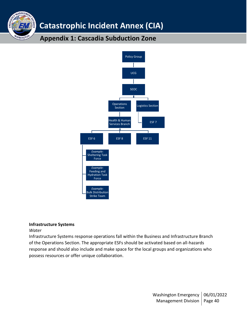## **Appendix 1: Cascadia Subduction Zone**



#### **Infrastructure Systems**

*Water*

MANAGEME

WASHINGTO

Infrastructure Systems response operations fall within the Business and Infrastructure Branch of the Operations Section. The appropriate ESFs should be activated based on all-hazards response and should also include and make space for the local groups and organizations who possess resources or offer unique collaboration.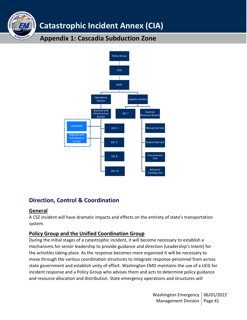## **Appendix 1: Cascadia Subduction Zone**



## <span id="page-40-0"></span>**Direction, Control & Coordination**

### <span id="page-40-1"></span>**General**

ANAGEM

**VASHINGT** 

A CSZ incident will have dramatic impacts and effects on the entirety of state's transportation system.

### <span id="page-40-2"></span>**Policy Group and the Unified Coordination Group**

During the initial stages of a catastrophic incident, it will become necessary to establish a mechanisms for senior leadership to provide guidance and direction (Leadership's Intent) for the activities taking place. As the response becomes more organized it will be necessary to move through the various coordination structures to integrate response personnel from across state government and establish unity of effort. Washington EMD maintains the use of a UCG for incident response and a Policy Group who advises them and acts to determine policy guidance and resource allocation and distribution. State emergency operations and structures will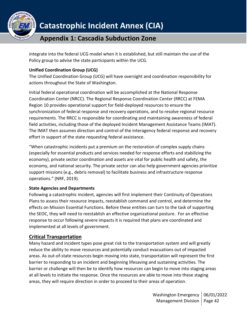

integrate into the federal UCG model when it is established, but still maintain the use of the Policy group to advise the state participants within the UCG.

### **Unified Coordination Group (UCG)**

The Unified Coordination Group (UCG) will have oversight and coordination responsibility for actions throughout the State of Washington.

Initial federal operational coordination will be accomplished at the National Response Coordination Center (NRCC). The Regional Response Coordination Center (RRCC) at FEMA Region 10 provides operational support for field-deployed resources to ensure the synchronization of federal response and recovery operations, and to resolve regional resource requirements. The RRCC is responsible for coordinating and maintaining awareness of federal field activities, including those of the deployed Incident Management Assistance Teams (IMAT). The IMAT then assumes direction and control of the interagency federal response and recovery effort in support of the state requesting federal assistance.

"When catastrophic incidents put a premium on the restoration of complex supply chains (especially for essential products and services needed for response efforts and stabilizing the economy), private sector coordination and assets are vital for public health and safety, the economy, and national security. The private sector can also help government agencies prioritize support missions (e.g., debris removal) to facilitate business and infrastructure response operations." (NRF, 2019).

### **State Agencies and Departments**

Following a catastrophic incident, agencies will first implement their Continuity of Operations Plans to assess their resource impacts, reestablish command and control, and determine the effects on Mission Essential Functions. Before these entities can turn to the task of supporting the SEOC, they will need to reestablish an effective organizational posture. For an effective response to occur following severe impacts it is required that plans are coordinated and implemented at all levels of government.

### <span id="page-41-0"></span>**Critical Transportation**

Many hazard and incident types pose great risk to the transportation system and will greatly reduce the ability to move resources and potentially conduct evacuations out of impacted areas. As out-of-state resources begin moving into state, transportation will represent the first barrier to responding to an incident and beginning lifesaving and sustaining activities. The barrier or challenge will then be to identify how resources can begin to move into staging areas at all levels to initiate the response. Once the resources are able to move into these staging areas, they will require direction in order to proceed to their areas of operation.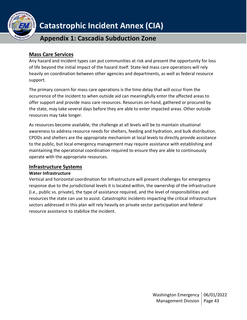

### **Appendix 1: Cascadia Subduction Zone**

### <span id="page-42-0"></span>**Mass Care Services**

Any hazard and incident types can put communities at risk and present the opportunity for loss of life beyond the initial impact of the hazard itself. State-led mass care operations will rely heavily on coordination between other agencies and departments, as well as federal resource support.

The primary concern for mass care operations is the time delay that will occur from the occurrence of the incident to when outside aid can meaningfully enter the affected areas to offer support and provide mass care resources. Resources on-hand, gathered or procured by the state, may take several days before they are able to enter impacted areas. Other outside resources may take longer.

As resources become available, the challenge at all levels will be to maintain situational awareness to address resource needs for shelters, feeding and hydration, and bulk distribution. CPODs and shelters are the appropriate mechanism at local levels to directly provide assistance to the public, but local emergency management may require assistance with establishing and maintaining the operational coordination required to ensure they are able to continuously operate with the appropriate resources.

### <span id="page-42-1"></span>**Infrastructure Systems**

### **Water Infrastructure**

Vertical and horizontal coordination for infrastructure will present challenges for emergency response due to the jurisdictional levels it is located within, the ownership of the infrastructure (i.e., public vs. private), the type of assistance required, and the level of responsibilities and resources the state can use to assist. Catastrophic incidents impacting the critical infrastructure sectors addressed in this plan will rely heavily on private sector participation and federal resource assistance to stabilize the incident.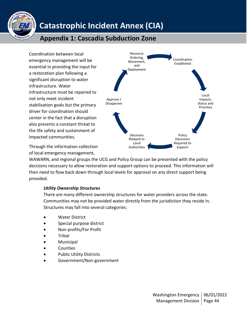

## **Appendix 1: Cascadia Subduction Zone**

Coordination between local emergency management will be essential in providing the input for a restoration plan following a significant disruption to water infrastructure. Water infrastructure must be repaired to not only meet incident stabilization goals but the primary driver for coordination should center in the fact that a disruption also presents a constant threat to the life safety and sustainment of impacted communities.



Through the information collection of local emergency management,

WAWARN, and regional groups the UCG and Policy Group can be presented with the policy decisions necessary to allow restoration and support options to proceed. This information will then need to flow back down through local levels for approval on any direct support being provided.

### *Utility Ownership Structures*

There are many different ownership structures for water providers across the state. Communities may not be provided water directly from the jurisdiction they reside in. Structures may fall into several categories:

- Water District
- Special purpose district
- Non-profits/For Profit
- Tribal
- **Municipal**
- **Counties**
- Public Utility Districts
- Government/Non-government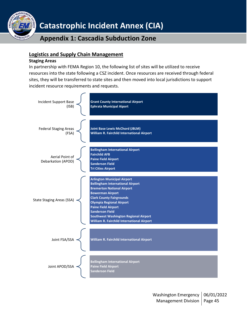

### **Appendix 1: Cascadia Subduction Zone**

### **Logistics and Supply Chain Management**

### **Staging Areas**

In partnership with FEMA Region 10, the following list of sites will be utilized to receive resources into the state following a CSZ incident. Once resources are received through federal sites, they will be transferred to state sites and then moved into local jurisdictions to support incident resource requirements and requests.

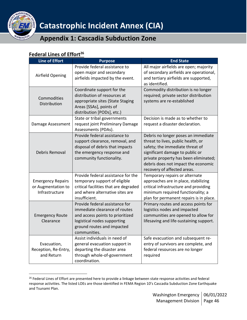

### <span id="page-45-0"></span>**Federal Lines of Effort<sup>26</sup>**

| Line of Effort                                                   | <b>Purpose</b>                                                                                                                                                                   | <b>End State</b>                                                                                                                                                                                                                                               |
|------------------------------------------------------------------|----------------------------------------------------------------------------------------------------------------------------------------------------------------------------------|----------------------------------------------------------------------------------------------------------------------------------------------------------------------------------------------------------------------------------------------------------------|
| <b>Airfield Opening</b>                                          | Provide federal assistance to<br>open major and secondary<br>airfields impacted by the event.                                                                                    | All major airfields are open; majority<br>of secondary airfields are operational,<br>and tertiary airfields are supported,<br>as identified.                                                                                                                   |
| Commodities<br>Distribution                                      | Coordinate support for the<br>distribution of resources at<br>appropriate sites (State Staging<br>Areas [SSAs], points of<br>distribution [PODs], etc.)                          | Commodity distribution is no longer<br>required; private sector distribution<br>systems are re-established                                                                                                                                                     |
| Damage Assessment                                                | State or tribal governments<br>request joint Preliminary Damage<br>Assessments (PDAs).                                                                                           | Decision is made as to whether to<br>request a disaster declaration.                                                                                                                                                                                           |
| Debris Removal                                                   | Provide federal assistance to<br>support clearance, removal, and<br>disposal of debris that impacts<br>the emergency response and<br>community functionality.                    | Debris no longer poses an immediate<br>threat to lives, public health, or<br>safety; the immediate threat of<br>significant damage to public or<br>private property has been eliminated;<br>debris does not impact the economic<br>recovery of affected areas. |
| <b>Emergency Repairs</b><br>or Augmentation to<br>Infrastructure | Provide federal assistance for the<br>temporary support of eligible<br>critical facilities that are degraded<br>and where alternative sites are<br>insufficient.                 | Temporary repairs or alternate<br>approaches are in place, stabilizing<br>critical infrastructure and providing<br>minimum required functionality; a<br>plan for permanent repairs is in place.                                                                |
| <b>Emergency Route</b><br>Clearance                              | Provide federal assistance for<br>immediate clearance of routes<br>and access points to prioritized<br>logistical nodes supporting<br>ground routes and impacted<br>communities. | Primary routes and access points for<br>logistics nodes and impacted<br>communities are opened to allow for<br>lifesaving and life-sustaining support.                                                                                                         |
| Evacuation,<br>Reception, Re-Entry,<br>and Return                | Assist individuals in need of<br>general evacuation support in<br>departing the disaster area<br>through whole-of-government<br>coordination.                                    | Safe evacuation and subsequent re-<br>entry of survivors are complete, and<br>federal resources are no longer<br>required                                                                                                                                      |

<sup>&</sup>lt;sup>26</sup> Federal Lines of Effort are presented here to provide a linkage between state response activities and federal response activities. The listed LOEs are those identified in FEMA Region 10's Cascadia Subduction Zone Earthquake and Tsunami Plan.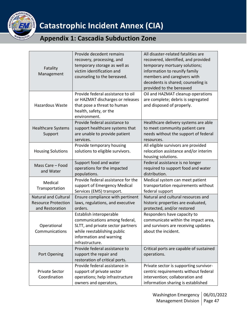

|                             | Provide decedent remains           | All disaster-related fatalities are     |
|-----------------------------|------------------------------------|-----------------------------------------|
|                             | recovery, processing, and          | recovered, identified, and provided     |
|                             | temporary storage as well as       | temporary mortuary solutions;           |
| Fatality                    | victim identification and          | information to reunify family           |
| Management                  | counseling to the bereaved.        | members and caregivers with             |
|                             |                                    | decedents is shared; counseling is      |
|                             |                                    | provided to the bereaved                |
|                             | Provide federal assistance to oil  | Oil and HAZMAT cleanup operations       |
|                             | or HAZMAT discharges or releases   | are complete; debris is segregated      |
| <b>Hazardous Waste</b>      | that pose a threat to human        | and disposed of properly.               |
|                             | health, safety, or the             |                                         |
|                             | environment.                       |                                         |
|                             | Provide federal assistance to      | Healthcare delivery systems are able    |
| <b>Healthcare Systems</b>   | support healthcare systems that    | to meet community patient care          |
| Support                     | are unable to provide patient      | needs without the support of federal    |
|                             | services.                          | resources.                              |
|                             | Provide temporary housing          | All eligible survivors are provided     |
| <b>Housing Solutions</b>    | solutions to eligible survivors.   | relocation assistance and/or interim    |
|                             |                                    | housing solutions.                      |
| Mass Care - Food            | Support food and water             | Federal assistance is no longer         |
| and Water                   | operations for the impacted        | required to support food and water      |
|                             | populations.                       | distribution.                           |
| Medical                     | Provide federal assistance for the | Medical system can meet patient         |
| Transportation              | support of Emergency Medical       | transportation requirements without     |
|                             | Services (EMS) transport.          | federal support                         |
| <b>Natural and Cultural</b> | Ensure compliance with pertinent   | Natural and cultural resources and      |
| <b>Resource Protection</b>  | laws, regulations, and executive   | historic properties are evaluated,      |
| and Restoration             | orders.                            | protected, and/or restored              |
|                             | Establish interoperable            | Responders have capacity to             |
|                             | communications among federal,      | communicate within the impact area,     |
| Operational                 | SLTT, and private sector partners  | and survivors are receiving updates     |
| Communications              | while reestablishing public        | about the incident.                     |
|                             | information and warning            |                                         |
|                             | infrastructure.                    |                                         |
|                             | Provide federal assistance to      | Critical ports are capable of sustained |
| Port Opening                | support the repair and             | operations.                             |
|                             | restoration of critical ports.     |                                         |
|                             | Provide federal assistance in      | Private sector is supporting survivor-  |
| <b>Private Sector</b>       | support of private sector          | centric requirements without federal    |
| Coordination                | operations; help infrastructure    | intervention; collaboration and         |
|                             | owners and operators,              | information sharing is established      |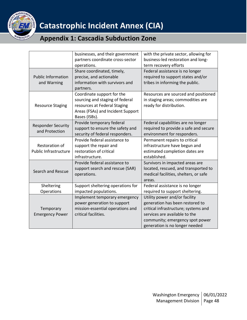

|                                                | businesses, and their government<br>partners coordinate cross-sector<br>operations.                                                                 | with the private sector, allowing for<br>business-led restoration and long-<br>term recovery efforts                                                                                                           |
|------------------------------------------------|-----------------------------------------------------------------------------------------------------------------------------------------------------|----------------------------------------------------------------------------------------------------------------------------------------------------------------------------------------------------------------|
| <b>Public Information</b><br>and Warning       | Share coordinated, timely,<br>precise, and actionable<br>information with survivors and<br>partners.                                                | Federal assistance is no longer<br>required to support states and/or<br>tribes in informing the public.                                                                                                        |
| <b>Resource Staging</b>                        | Coordinate support for the<br>sourcing and staging of federal<br>resources at Federal Staging<br>Areas (FSAs) and Incident Support<br>Bases (ISBs). | Resources are sourced and positioned<br>in staging areas; commodities are<br>ready for distribution.                                                                                                           |
| <b>Responder Security</b><br>and Protection    | Provide temporary federal<br>support to ensure the safety and<br>security of federal responders.                                                    | Federal capabilities are no longer<br>required to provide a safe and secure<br>environment for responders.                                                                                                     |
| Restoration of<br><b>Public Infrastructure</b> | Provide federal assistance to<br>support the repair and<br>restoration of critical<br>infrastructure.                                               | Permanent repairs to critical<br>infrastructure have begun and<br>estimated completion dates are<br>established.                                                                                               |
| Search and Rescue                              | Provide federal assistance to<br>support search and rescue (SAR)<br>operations.                                                                     | Survivors in impacted areas are<br>located, rescued, and transported to<br>medical facilities, shelters, or safe<br>areas.                                                                                     |
| Sheltering<br>Operations                       | Support sheltering operations for<br>impacted populations.                                                                                          | Federal assistance is no longer<br>required to support sheltering.                                                                                                                                             |
| Temporary<br><b>Emergency Power</b>            | Implement temporary emergency<br>power generation to support<br>mission-essential operations and<br>critical facilities.                            | Utility power and/or facility<br>generation has been restored to<br>critical infrastructure; systems and<br>services are available to the<br>community; emergency spot power<br>generation is no longer needed |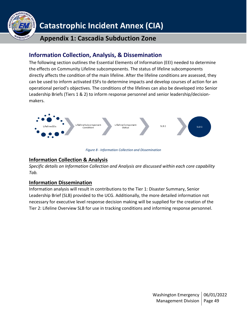

## **Appendix 1: Cascadia Subduction Zone**

### <span id="page-48-0"></span>**Information Collection, Analysis, & Dissemination**

The following section outlines the Essential Elements of Information (EEI) needed to determine the effects on Community Lifeline subcomponents. The status of lifeline subcomponents directly affects the condition of the main lifeline. After the lifeline conditions are assessed, they can be used to inform activated ESFs to determine impacts and develop courses of action for an operational period's objectives. The conditions of the lifelines can also be developed into Senior Leadership Briefs (Tiers 1 & 2) to inform response personnel and senior leadership/decisionmakers.



*Figure 8 - Information Collection and Dissemination*

### <span id="page-48-1"></span>**Information Collection & Analysis**

*Specific details on Information Collection and Analysis are discussed within each core capability Tab.*

### <span id="page-48-2"></span>**Information Dissemination**

Information analysis will result in contributions to the Tier 1: Disaster Summary, Senior Leadership Brief (SLB) provided to the UCG. Additionally, the more detailed information not necessary for executive level response decision making will be supplied for the creation of the Tier 2: Lifeline Overview SLB for use in tracking conditions and informing response personnel.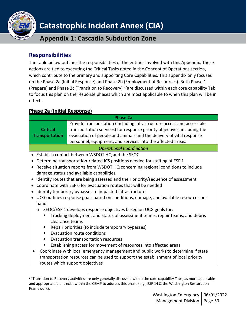

**Appendix 1: Cascadia Subduction Zone**

### <span id="page-49-0"></span>**Responsibilities**

The table below outlines the responsibilities of the entities involved with this Appendix. These actions are tied to executing the Critical Tasks noted in the Concept of Operations section, which contribute to the primary and supporting Core Capabilities. This appendix only focuses on the Phase 2a (Initial Response) and Phase 2b (Employment of Resources). Both Phase 1 (Prepare) and Phase 2c (Transition to Recovery) <sup>27</sup>are discussed within each core capability Tab to focus this plan on the response phases which are most applicable to when this plan will be in effect.

### <span id="page-49-1"></span>**Phase 2a (Initial Response)**

| <b>Phase 2a</b>                                                                                |                                                                                                                                                                                                                                                                                          |  |
|------------------------------------------------------------------------------------------------|------------------------------------------------------------------------------------------------------------------------------------------------------------------------------------------------------------------------------------------------------------------------------------------|--|
| <b>Critical</b><br><b>Transportation</b>                                                       | Provide transportation (including infrastructure access and accessible<br>transportation services) for response priority objectives, including the<br>evacuation of people and animals and the delivery of vital response<br>personnel, equipment, and services into the affected areas. |  |
|                                                                                                | <b>Operational Coordination</b>                                                                                                                                                                                                                                                          |  |
|                                                                                                | Establish contact between WSDOT HQ and the SEOC                                                                                                                                                                                                                                          |  |
|                                                                                                | Determine transportation-related ICS positions needed for staffing of ESF 1                                                                                                                                                                                                              |  |
| Receive situation reports from WSDOT HQ concerning regional conditions to include<br>$\bullet$ |                                                                                                                                                                                                                                                                                          |  |
|                                                                                                | damage status and available capabilities                                                                                                                                                                                                                                                 |  |
|                                                                                                | Identify routes that are being assessed and their priority/sequence of assessment                                                                                                                                                                                                        |  |
|                                                                                                | Coordinate with ESF 6 for evacuation routes that will be needed                                                                                                                                                                                                                          |  |
|                                                                                                | Identify temporary bypasses to impacted infrastructure                                                                                                                                                                                                                                   |  |
|                                                                                                | UCG outlines response goals based on conditions, damage, and available resources on-                                                                                                                                                                                                     |  |
| hand                                                                                           |                                                                                                                                                                                                                                                                                          |  |
| $\circ$                                                                                        | SEOC/ESF 1 develops response objectives based on UCG goals for:                                                                                                                                                                                                                          |  |
| clearance teams                                                                                | Tracking deployment and status of assessment teams, repair teams, and debris                                                                                                                                                                                                             |  |
| п                                                                                              | Repair priorities (to include temporary bypasses)                                                                                                                                                                                                                                        |  |
| ٠                                                                                              | Evacuation route conditions                                                                                                                                                                                                                                                              |  |
| п                                                                                              | Evacuation transportation resources                                                                                                                                                                                                                                                      |  |
| п                                                                                              | Establishing access for movement of resources into affected areas                                                                                                                                                                                                                        |  |
|                                                                                                | Coordinate with local emergency management and public works to determine if state                                                                                                                                                                                                        |  |
|                                                                                                | transportation resources can be used to support the establishment of local priority                                                                                                                                                                                                      |  |
|                                                                                                | routes which support objectives                                                                                                                                                                                                                                                          |  |
|                                                                                                |                                                                                                                                                                                                                                                                                          |  |

 $27$  Transition to Recovery activities are only generally discussed within the core capability Tabs, as more applicable and appropriate plans exist within the CEMP to address this phase (e.g., ESF 14 & the Washington Restoration Framework).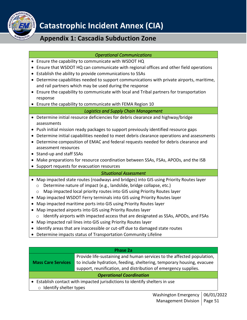

## **Appendix 1: Cascadia Subduction Zone**

### *Operational Communications*

- Ensure the capability to communicate with WSDOT HQ
- Ensure that WSDOT HQ can communicate with regional offices and other field operations
- Establish the ability to provide communications to SSAs
- Determine capabilities needed to support communications with private airports, maritime, and rail partners which may be used during the response
- Ensure the capability to communicate with local and Tribal partners for transportation response
- Ensure the capability to communicate with FEMA Region 10

### *Logistics and Supply Chain Management*

- Determine initial resource deficiencies for debris clearance and highway/bridge assessments
- Push initial mission ready packages to support previously identified resource gaps
- Determine initial capabilities needed to meet debris clearance operations and assessments
- Determine composition of EMAC and federal requests needed for debris clearance and assessment resources
- Stand-up and staff SSAs
- Make preparations for resource coordination between SSAs, FSAs, APODs, and the ISB
- Support requests for evacuation resources

### *Situational Assessment*

- Map impacted state routes (roadways and bridges) into GIS using Priority Routes layer
	- o Determine nature of impact (e.g., landslide, bridge collapse, etc.)
- o Map impacted local priority routes into GIS using Priority Routes layer
- Map impacted WSDOT Ferry terminals into GIS using Priority Routes layer
- Map impacted maritime ports into GIS using Priority Routes layer
- Map impacted airports into GIS using Priority Routes layer
	- $\circ$  Identify airports with impacted access that are designated as SSAs, APODs, and FSAs
- Map impacted rail lines into GIS using Priority Routes layer
- Identify areas that are inaccessible or cut-off due to damaged state routes
- Determine impacts status of Transportation Community Lifeline

| <b>Phase 2a</b>                                                                                                          |                                                                                                                                                                                                                    |  |
|--------------------------------------------------------------------------------------------------------------------------|--------------------------------------------------------------------------------------------------------------------------------------------------------------------------------------------------------------------|--|
| <b>Mass Care Services</b>                                                                                                | Provide life-sustaining and human services to the affected population,<br>to include hydration, feeding, sheltering, temporary housing, evacuee<br>support, reunification, and distribution of emergency supplies. |  |
| <b>Operational Coordination</b>                                                                                          |                                                                                                                                                                                                                    |  |
| • Establish contact with impacted jurisdictions to identify shelters in use<br>ومتعاص والمتحاف والمتحالة فالمتحام الملاح |                                                                                                                                                                                                                    |  |

 $\circ$  Identify shelter types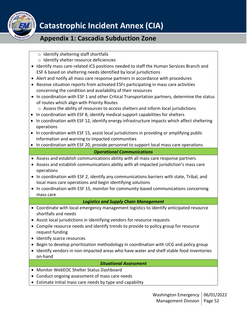

### **Appendix 1: Cascadia Subduction Zone**

- o Identify sheltering staff shortfalls
- o Identify shelter resource deficiencies
- Identify mass care-related ICS positions needed to staff the Human Services Branch and ESF 6 based on sheltering needs identified by local jurisdictions
- Alert and notify all mass care response partners in accordance with procedures
- Receive situation reports from activated ESFs participating in mass care activities concerning the condition and availability of their resources
- In coordination with ESF 1 and other Critical Transportation partners, determine the status of routes which align with Priority Routes
	- $\circ$  Assess the ability of resources to access shelters and inform local jurisdictions
- In coordination with ESF 8, identify medical support capabilities for shelters
- In coordination with ESF 12, identify energy infrastructure impacts which affect sheltering operations
- In coordination with ESF 15, assist local jurisdictions in providing or amplifying public information and warning to impacted communities
- In coordination with ESF 20, provide personnel to support local mass care operations

### *Operational Communications*

- Assess and establish communications ability with all mass care response partners
- Assess and establish communications ability with all impacted jurisdiction's mass care operations
- In coordination with ESF 2, identify any communications barriers with state, Tribal, and local mass care operations and begin identifying solutions
- In coordination with ESF 15, monitor for community-based communications concerning mass care

### *Logistics and Supply Chain Management*

- Coordinate with local emergency management logistics to identify anticipated resource shortfalls and needs
- Assist local jurisdictions in identifying vendors for resource requests
- Compile resource needs and identify trends to provide to policy group for resource request funding
- Identify scarce resources
- Begin to develop prioritization methodology in coordination with UCG and policy group
- Identify vendors in non-impacted areas who have water and shelf stable food inventories on-hand

### *Situational Assessment*

- Monitor WebEOC Shelter Status Dashboard
- Conduct ongoing assessment of mass care needs
- Estimate initial mass care needs by type and capability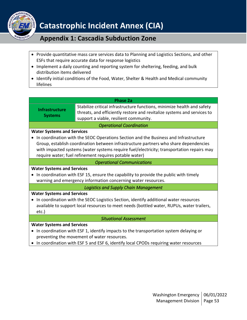

- Provide quantitative mass care services data to Planning and Logistics Sections, and other ESFs that require accurate data for response logistics
- Implement a daily counting and reporting system for sheltering, feeding, and bulk distribution items delivered
- Identify initial conditions of the Food, Water, Shelter & Health and Medical community lifelines

#### **Phase 2a**

| <b>Infrastructure</b>                                                                     | Stabilize critical infrastructure functions, minimize health and safety                 |  |  |
|-------------------------------------------------------------------------------------------|-----------------------------------------------------------------------------------------|--|--|
| <b>Systems</b>                                                                            | threats, and efficiently restore and revitalize systems and services to                 |  |  |
|                                                                                           | support a viable, resilient community.                                                  |  |  |
| <b>Operational Coordination</b>                                                           |                                                                                         |  |  |
| <b>Water Systems and Services</b>                                                         |                                                                                         |  |  |
|                                                                                           | • In coordination with the SEOC Operations Section and the Business and Infrastructure  |  |  |
|                                                                                           | Group, establish coordination between infrastructure partners who share dependencies    |  |  |
| with impacted systems (water systems require fuel/electricity; transportation repairs may |                                                                                         |  |  |
|                                                                                           | require water; fuel refinement requires potable water)                                  |  |  |
|                                                                                           | <b>Operational Communications</b>                                                       |  |  |
| <b>Water Systems and Services</b>                                                         |                                                                                         |  |  |
| • In coordination with ESF 15, ensure the capability to provide the public with timely    |                                                                                         |  |  |
| warning and emergency information concerning water resources.                             |                                                                                         |  |  |
| <b>Logistics and Supply Chain Management</b>                                              |                                                                                         |  |  |
| <b>Water Systems and Services</b>                                                         |                                                                                         |  |  |
| • In coordination with the SEOC Logistics Section, identify additional water resources    |                                                                                         |  |  |
| available to support local resources to meet needs (bottled water, RUPUs, water trailers, |                                                                                         |  |  |
| $etc.$ )                                                                                  |                                                                                         |  |  |
| <b>Situational Assessment</b>                                                             |                                                                                         |  |  |
| <b>Water Systems and Services</b>                                                         |                                                                                         |  |  |
|                                                                                           | • In coordination with ESF 1, identify impacts to the transportation system delaying or |  |  |
| preventing the movement of water resources.                                               |                                                                                         |  |  |

• In coordination with ESF 5 and ESF 6, identify local CPODs requiring water resources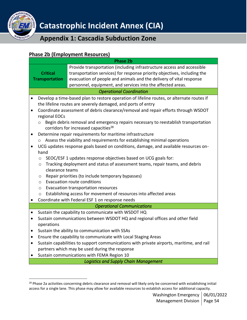

### <span id="page-53-0"></span>**Phase 2b (Employment Resources) Phase 2b Critical Transportation** Provide transportation (including infrastructure access and accessible transportation services) for response priority objectives, including the evacuation of people and animals and the delivery of vital response personnel, equipment, and services into the affected areas. *Operational Coordination*  • Develop a time-based plan to restore operation of lifeline routes, or alternate routes if the lifeline routes are severely damaged, and ports of entry • Coordinate assessment of debris clearance/removal and repair efforts through WSDOT regional EOCs o Begin debris removal and emergency repairs necessary to reestablish transportation corridors for increased capacities<sup>28</sup> • Determine repair requirements for maritime infrastructure  $\circ$  Assess the viability and requirements for establishing minimal operations • UCG updates response goals based on conditions, damage, and available resources onhand o SEOC/ESF 1 updates response objectives based on UCG goals for: o Tracking deployment and status of assessment teams, repair teams, and debris clearance teams o Repair priorities (to include temporary bypasses) o Evacuation route conditions o Evacuation transportation resources o Establishing access for movement of resources into affected areas • Coordinate with Federal ESF 1 on response needs *Operational Communications*  • Sustain the capability to communicate with WSDOT HQ • Sustain communications between WSDOT HQ and regional offices and other field operations • Sustain the ability to communication with SSAs • Ensure the capability to communicate with Local Staging Areas • Sustain capabilities to support communications with private airports, maritime, and rail partners which may be used during the response • Sustain communications with FEMA Region 10 *Logistics and Supply Chain Management*

<sup>&</sup>lt;sup>28</sup> Phase 2a activities concerning debris clearance and removal will likely only be concerned with establishing initial access for a single lane. This phase may allow for available resources to establish access for additional capacity.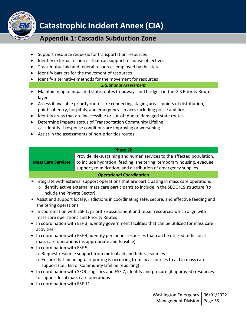

### **Appendix 1: Cascadia Subduction Zone**

- Support resource requests for transportation resources
- Identify external resources that can support response objectives
- Track mutual aid and federal resources employed by the state
- Identify barriers for the movement of resources
- Identify alternative methods for the movement for resources

### *Situational Assessment*

- Maintain map of impacted state routes (roadways and bridges) in the GIS Priority Routes layer
- Assess if available priority routes are connecting staging areas, points of distribution, points of entry, hospitals, and emergency services including police and fire.
- Identify areas that are inaccessible or cut-off due to damaged state routes
- Determine impacts status of Transportation Community Lifeline
	- o Identify if response conditions are improving or worsening
- Assist in the assessments of non-priorities routes

#### **Phase 2b**

**Mass Care Services** Provide life-sustaining and human services to the affected population, to include hydration, feeding, sheltering, temporary housing, evacuee support, reunification, and distribution of emergency supplies.

### *Operational Coordination*

- Integrate with external support operations that are participating in mass care operations  $\circ$  Identify active external mass care participants to include in the SEOC ICS structure (to include the Private Sector)
- Assist and support local jurisdictions in coordinating safe, secure, and effective feeding and sheltering operations
- In coordination with ESF 1, prioritize assessment and repair resources which align with mass care operations and Priority Routes
- In coordination with ESF 3, identify government facilities that can be utilized for mass care activities
- In coordination with ESF 4, identify personnel resources that can be utilized to fill local mass care operations (as appropriate and feasible)
- In coordination with ESF 5,
	- o Request resource support from mutual aid and federal sources
	- o Ensure that meaningful reporting is occurring from local sources to aid in mass care support (i.e., EEI or Community Lifeline reporting)
- In coordination with SEOC Logistics and ESF 7, identify and procure (if approved) resources to support local mass care operations
- In coordination with ESF 11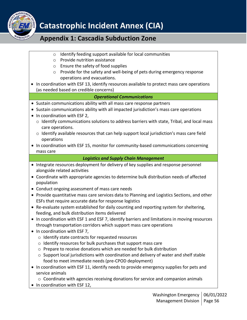

- o Identify feeding support available for local communities
- o Provide nutrition assistance
- o Ensure the safety of food supplies
- o Provide for the safety and well-being of pets during emergency response operations and evacuations.
- In coordination with ESF 13, identify resources available to protect mass care operations (as needed based on credible concerns)

### *Operational Communications*

- Sustain communications ability with all mass care response partners
- Sustain communications ability with all impacted jurisdiction's mass care operations
- In coordination with ESF 2,
	- $\circ$  Identify communications solutions to address barriers with state, Tribal, and local mass care operations.
	- o Identify available resources that can help support local jurisdiction's mass care field operations
- In coordination with ESF 15, monitor for community-based communications concerning mass care

### *Logistics and Supply Chain Management*

- Integrate resources deployment for delivery of key supplies and response personnel alongside related activities
- Coordinate with appropriate agencies to determine bulk distribution needs of affected population
- Conduct ongoing assessment of mass care needs
- Provide quantitative mass care services data to Planning and Logistics Sections, and other ESFs that require accurate data for response logistics
- Re-evaluate system established for daily counting and reporting system for sheltering, feeding, and bulk distribution items delivered
- In coordination with ESF 1 and ESF 7, identify barriers and limitations in moving resources through transportation corridors which support mass care operations
- In coordination with ESF 7,
	- o Identify state contracts for requested resources
	- o Identify resources for bulk purchases that support mass care
	- o Prepare to receive donations which are needed for bulk distribution
	- o Support local jurisdictions with coordination and delivery of water and shelf stable food to meet immediate needs (pre-CPOD deployment)
- In coordination with ESF 11, identify needs to provide emergency supplies for pets and service animals
	- o Coordinate with agencies receiving donations for service and companion animals
- In coordination with ESF 12,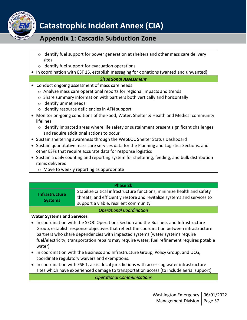

### **Appendix 1: Cascadia Subduction Zone**

- $\circ$  Identify fuel support for power generation at shelters and other mass care delivery sites
- o Identify fuel support for evacuation operations
- In coordination with ESF 15, establish messaging for donations (wanted and unwanted)

#### *Situational Assessment*

- Conduct ongoing assessment of mass care needs
	- o Analyze mass care operational reports for regional impacts and trends
	- o Share summary information with partners both vertically and horizontally
	- o Identify unmet needs
	- o Identify resource deficiencies in AFN support
- Monitor on-going conditions of the Food, Water, Shelter & Health and Medical community lifelines
	- o Identify impacted areas where life safety or sustainment present significant challenges and require additional actions to occur
- Sustain sheltering awareness through the WebEOC Shelter Status Dashboard
- Sustain quantitative mass care services data for the Planning and Logistics Sections, and other ESFs that require accurate data for response logistics
- Sustain a daily counting and reporting system for sheltering, feeding, and bulk distribution items delivered
	- o Move to weekly reporting as appropriate

#### **Phase 2b**

| <b>Infrastructure</b> | Stabilize critical infrastructure functions, minimize health and safety |
|-----------------------|-------------------------------------------------------------------------|
|                       | threats, and efficiently restore and revitalize systems and services to |
| <b>Systems</b>        | support a viable, resilient community.                                  |
|                       |                                                                         |

### *Operational Coordination*

### **Water Systems and Services**

- In coordination with the SEOC Operations Section and the Business and Infrastructure Group, establish response objectives that reflect the coordination between infrastructure partners who share dependencies with impacted systems (water systems require fuel/electricity; transportation repairs may require water; fuel refinement requires potable water)
- In coordination with the Business and Infrastructure Group, Policy Group, and UCG, coordinate regulatory waivers and exemptions.
- In coordination with ESF 1, assist local jurisdictions with accessing water infrastructure sites which have experienced damage to transportation access (to include aerial support)

*Operational Communications*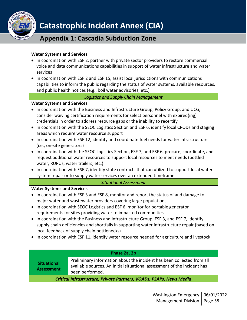

## **Appendix 1: Cascadia Subduction Zone**

### **Water Systems and Services**

- In coordination with ESF 2, partner with private sector providers to restore commercial voice and data communications capabilities in support of water infrastructure and water services
- In coordination with ESF 2 and ESF 15, assist local jurisdictions with communications capabilities to inform the public regarding the status of water systems, available resources, and public health notices (e.g., boil water advisories, etc.)

### *Logistics and Supply Chain Management*

### **Water Systems and Services**

- In coordination with the Business and Infrastructure Group, Policy Group, and UCG, consider waiving certification requirements for select personnel with expired(ing) credentials in order to address resource gaps or the inability to recertify
- In coordination with the SEOC Logistics Section and ESF 6, identify local CPODs and staging areas which require water resource support
- In coordination with ESF 12, identify and coordinate fuel needs for water infrastructure (i.e., on-site generators)
- In coordination with the SEOC Logistics Section, ESF 7, and ESF 6, procure, coordinate, and request additional water resources to support local resources to meet needs (bottled water, RUPUs, water trailers, etc.)
- In coordination with ESF 7, identify state contracts that can utilized to support local water system repair or to supply water services over an extended timeframe

### *Situational Assessment*

### **Water Systems and Services**

- In coordination with ESF 3 and ESF 8, monitor and report the status of and damage to major water and wastewater providers covering large populations
- In coordination with SEOC Logistics and ESF 6, monitor for portable generator requirements for sites providing water to impacted communities
- In coordination with the Business and Infrastructure Group, ESF 3, and ESF 7, identify supply chain deficiencies and shortfalls in supporting water infrastructure repair (based on local feedback of supply chain bottlenecks)
- In coordination with ESF 11, identify water resource needed for agriculture and livestock

### **Phase 2a, 2b**

| <b>Situational</b><br><b>Assessment</b> | Preliminary information about the incident has been collected from all<br>available sources. An initial situational assessment of the incident has<br>been performed. |
|-----------------------------------------|-----------------------------------------------------------------------------------------------------------------------------------------------------------------------|
|-----------------------------------------|-----------------------------------------------------------------------------------------------------------------------------------------------------------------------|

*Critical Infrastructure, Private Partners, VOADs, PSAPs, News Media*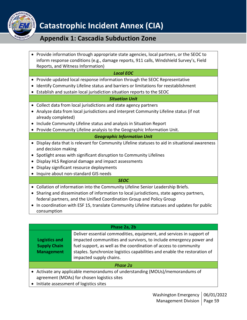

## **Appendix 1: Cascadia Subduction Zone**

• Provide information through appropriate state agencies, local partners, or the SEOC to inform response conditions (e.g., damage reports, 911 calls, Windshield Survey's, Field Reports, and Witness Information)

### *Local EOC*

- Provide updated local response information through the SEOC Representative
- Identify Community Lifeline status and barriers or limitations for reestablishment
- Establish and sustain local jurisdiction situation reports to the SEOC

### *Situation Unit*

- Collect data from local jurisdictions and state agency partners
- Analyze data from local jurisdictions and interpret Community Lifeline status (if not already completed)
- Include Community Lifeline status and analysis in Situation Report
- Provide Community Lifeline analysis to the Geographic Information Unit.

### *Geographic Information Unit*

- Display data that is relevant for Community Lifeline statuses to aid in situational awareness and decision making
- Spotlight areas with significant disruption to Community Lifelines
- Display HLS Regional damage and impact assessments
- Display significant resource deployments
- Inquire about non-standard GIS needs

### *SEOC*

- Collation of information into the Community Lifeline Senior Leadership Briefs.
- Sharing and dissemination of information to local jurisdictions, state agency partners, federal partners, and the Unified Coordination Group and Policy Group
- In coordination with ESF 15, translate Community Lifeline statuses and updates for public consumption

### **Phase 2a, 2b**

|                     | Deliver essential commodities, equipment, and services in support of      |  |
|---------------------|---------------------------------------------------------------------------|--|
| Logistics and       | impacted communities and survivors, to include emergency power and        |  |
| <b>Supply Chain</b> | fuel support, as well as the coordination of access to community          |  |
| <b>Management</b>   | staples. Synchronize logistics capabilities and enable the restoration of |  |
|                     | impacted supply chains.                                                   |  |
|                     |                                                                           |  |

### *Phase 2a*

- Activate any applicable memorandums of understanding (MOUs)/memorandums of agreement (MOAs) for chosen logistics sites
- Initiate assessment of logistics sites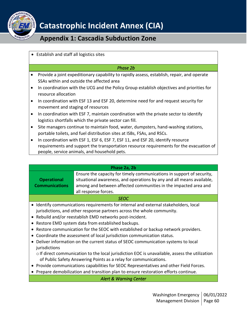

## **Appendix 1: Cascadia Subduction Zone**

• Establish and staff all logistics sites

### *Phase 2b*

- Provide a joint expeditionary capability to rapidly assess, establish, repair, and operate SSAs within and outside the affected area
- In coordination with the UCG and the Policy Group establish objectives and priorities for resource allocation
- In coordination with ESF 13 and ESF 20, determine need for and request security for movement and staging of resources
- In coordination with ESF 7, maintain coordination with the private sector to identify logistics shortfalls which the private sector can fill.
- Site managers continue to maintain food, water, dumpsters, hand-washing stations, portable toilets, and fuel distribution sites at ISBs, FSAs, and RSCs.
- In coordination with ESF 1, ESF 6, ESF 7, ESF 11, and ESF 20, identify resource requirements and support the transportation resource requirements for the evacuation of people, service animals, and household pets.

| Phase 2a, 2b                                                                                                                                                                                                                                                                                                                                                                                                                                                                                                                                                                                                                                                                                                                                                                                                                                                                                                                  |                                                                                                                                                                                                                                           |
|-------------------------------------------------------------------------------------------------------------------------------------------------------------------------------------------------------------------------------------------------------------------------------------------------------------------------------------------------------------------------------------------------------------------------------------------------------------------------------------------------------------------------------------------------------------------------------------------------------------------------------------------------------------------------------------------------------------------------------------------------------------------------------------------------------------------------------------------------------------------------------------------------------------------------------|-------------------------------------------------------------------------------------------------------------------------------------------------------------------------------------------------------------------------------------------|
| <b>Operational</b><br><b>Communications</b>                                                                                                                                                                                                                                                                                                                                                                                                                                                                                                                                                                                                                                                                                                                                                                                                                                                                                   | Ensure the capacity for timely communications in support of security,<br>situational awareness, and operations by any and all means available,<br>among and between affected communities in the impacted area and<br>all response forces. |
| <b>SEOC</b>                                                                                                                                                                                                                                                                                                                                                                                                                                                                                                                                                                                                                                                                                                                                                                                                                                                                                                                   |                                                                                                                                                                                                                                           |
| • Identify communications requirements for internal and external stakeholders, local<br>jurisdictions, and other response partners across the whole community.<br>Rebuild and/or reestablish EMD networks post-incident.<br>$\bullet$<br>Restore EMD system data from established backups.<br>Restore communication for the SEOC with established or backup network providers.<br>Coordinate the assessment of local jurisdiction communication status.<br>$\bullet$<br>Deliver information on the current status of SEOC communication systems to local<br>jurisdictions<br>o If direct communication to the local jurisdiction EOC is unavailable, assess the utilization<br>of Public Safety Answering Points as a relay for communications.<br>Provide communications capabilities for SEOC Representatives and other Field Forces.<br>Prepare demobilization and transition plan to ensure restoration efforts continue. |                                                                                                                                                                                                                                           |

*Alert & Warning Center*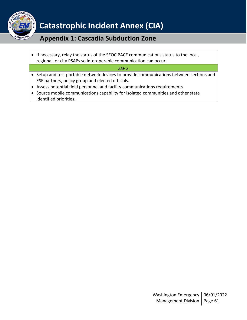

## **Appendix 1: Cascadia Subduction Zone**

• If necessary, relay the status of the SEOC PACE communications status to the local, regional, or city PSAPs so interoperable communication can occur.

*ESF* 2

- Setup and test portable network devices to provide communications between sections and ESF partners, policy group and elected officials.
- Assess potential field personnel and facility communications requirements
- Source mobile communications capability for isolated communities and other state identified priorities.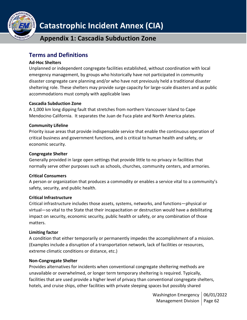

**Appendix 1: Cascadia Subduction Zone**

### <span id="page-61-0"></span>**Terms and Definitions**

### **Ad-Hoc Shelters**

Unplanned or independent congregate facilities established, without coordination with local emergency management, by groups who historically have not participated in community disaster congregate care planning and/or who have not previously held a traditional disaster sheltering role. These shelters may provide surge capacity for large-scale disasters and as public accommodations must comply with applicable laws

### **Cascadia Subduction Zone**

A 1,000 km long dipping fault that stretches from northern Vancouver Island to Cape Mendocino California. It separates the Juan de Fuca plate and North America plates.

### **Community Lifeline**

Priority issue areas that provide indispensable service that enable the continuous operation of critical business and government functions, and is critical to human health and safety, or economic security.

### **Congregate Shelter**

Generally provided in large open settings that provide little to no privacy in facilities that normally serve other purposes such as schools, churches, community centers, and armories.

### **Critical Consumers**

A person or organization that produces a commodity or enables a service vital to a community's safety, security, and public health.

### **Critical Infrastructure**

Critical infrastructure includes those assets, systems, networks, and functions—physical or virtual—so vital to the State that their incapacitation or destruction would have a debilitating impact on security, economic security, public health or safety, or any combination of those matters.

### **Limiting factor**

A condition that either temporarily or permanently impedes the accomplishment of a mission. (Examples include a disruption of a transportation network, lack of facilities or resources, extreme climatic conditions or distance, etc.)

### **Non-Congregate Shelter**

Provides alternatives for incidents when conventional congregate sheltering methods are unavailable or overwhelmed, or longer term temporary sheltering is required. Typically, facilities that are used provide a higher level of privacy than conventional congregate shelters, hotels, and cruise ships, other facilities with private sleeping spaces but possibly shared

> Washington Emergency | 06/01/2022 Management Division | Page 62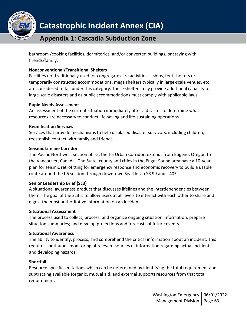

bathroom /cooking facilities, dormitories, and/or converted buildings, or staying with friends/family.

### **Nonconventional/Transitional Shelters**

Facilities not traditionally used for congregate care activities— ships, tent shelters or temporarily constructed accommodations, mega shelters typically in large-scale venues, etc., are considered to fall under this category. These shelters may provide additional capacity for large-scale disasters and as public accommodations must comply with applicable laws.

### **Rapid Needs Assessment**

An assessment of the current situation immediately after a disaster to determine what resources are necessary to conduct life-saving and life-sustaining operations.

### **Reunification Services**

Services that provide mechanisms to help displaced disaster survivors, including children, reestablish contact with family and friends.

### **Seismic Lifeline Corridor**

The Pacific Northwest section of I-5, the I-5 Urban Corridor, extends from Eugene, Oregon to the Vancouver, Canada. The State, county and cities in the Puget Sound area have a 10-year plan for seismic retrofitting for emergency response and economic recovery to build a usable route around the I-5 section through downtown Seattle via SR 99 and I-405.

### **Senior Leadership Brief (SLB)**

A situational awareness product that discusses lifelines and the interdependencies between them. The goal of the SLB is to allow users at all levels to interact with each other to share and digest the most authoritative information on an incident.

### **Situational Assessment**

The process used to collect, process, and organize ongoing situation information; prepare situation summaries; and develop projections and forecasts of future events.

### **Situational Awareness**

The ability to identify, process, and comprehend the critical information about an incident. This requires continuous monitoring of relevant sources of information regarding actual incidents and developing hazards.

### **Shortfall**

Resource-specific limitations which can be determined by identifying the total requirement and subtracting available (organic, mutual aid, and external support) resources from that total requirement.